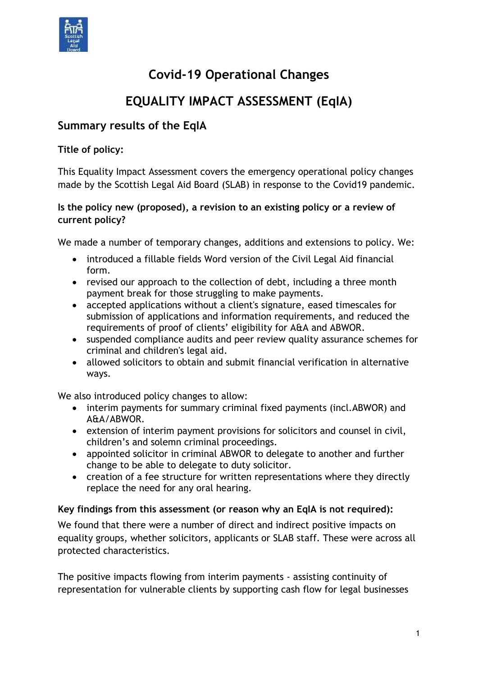

# **Covid-19 Operational Changes**

# **EQUALITY IMPACT ASSESSMENT (EqIA)**

# **Summary results of the EqIA**

### **Title of policy:**

This Equality Impact Assessment covers the emergency operational policy changes made by the Scottish Legal Aid Board (SLAB) in response to the Covid19 pandemic.

#### **Is the policy new (proposed), a revision to an existing policy or a review of current policy?**

We made a number of temporary changes, additions and extensions to policy. We:

- introduced a fillable fields Word version of the Civil Legal Aid financial form.
- revised our approach to the collection of debt, including a three month payment break for those struggling to make payments.
- accepted applications without a client's signature, eased timescales for submission of applications and information requirements, and reduced the requirements of proof of clients' eligibility for A&A and ABWOR.
- suspended compliance audits and peer review quality assurance schemes for criminal and children's legal aid.
- allowed solicitors to obtain and submit financial verification in alternative ways.

We also introduced policy changes to allow:

- interim payments for summary criminal fixed payments (incl.ABWOR) and A&A/ABWOR.
- extension of interim payment provisions for solicitors and counsel in civil, children's and solemn criminal proceedings.
- appointed solicitor in criminal ABWOR to delegate to another and further change to be able to delegate to duty solicitor.
- creation of a fee structure for written representations where they directly replace the need for any oral hearing.

#### **Key findings from this assessment (or reason why an EqIA is not required):**

We found that there were a number of direct and indirect positive impacts on equality groups, whether solicitors, applicants or SLAB staff. These were across all protected characteristics.

The positive impacts flowing from interim payments - assisting continuity of representation for vulnerable clients by supporting cash flow for legal businesses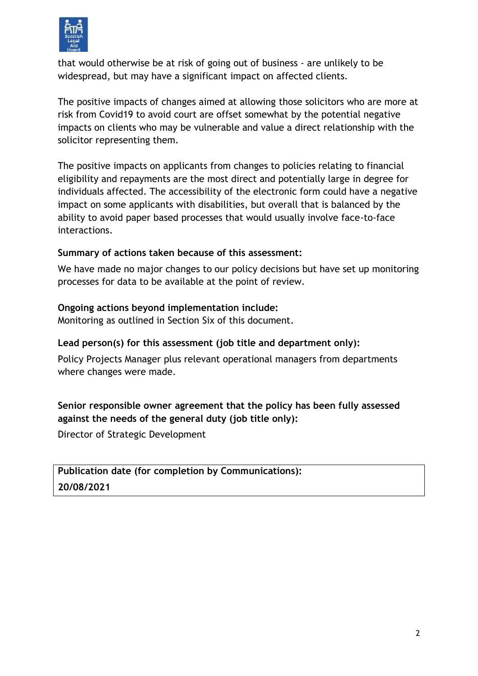

that would otherwise be at risk of going out of business - are unlikely to be widespread, but may have a significant impact on affected clients.

The positive impacts of changes aimed at allowing those solicitors who are more at risk from Covid19 to avoid court are offset somewhat by the potential negative impacts on clients who may be vulnerable and value a direct relationship with the solicitor representing them.

The positive impacts on applicants from changes to policies relating to financial eligibility and repayments are the most direct and potentially large in degree for individuals affected. The accessibility of the electronic form could have a negative impact on some applicants with disabilities, but overall that is balanced by the ability to avoid paper based processes that would usually involve face-to-face interactions.

#### **Summary of actions taken because of this assessment:**

We have made no major changes to our policy decisions but have set up monitoring processes for data to be available at the point of review.

### **Ongoing actions beyond implementation include:**

Monitoring as outlined in Section Six of this document.

## **Lead person(s) for this assessment (job title and department only):**

Policy Projects Manager plus relevant operational managers from departments where changes were made.

## **Senior responsible owner agreement that the policy has been fully assessed against the needs of the general duty (job title only):**

Director of Strategic Development

# **Publication date (for completion by Communications): 20/08/2021**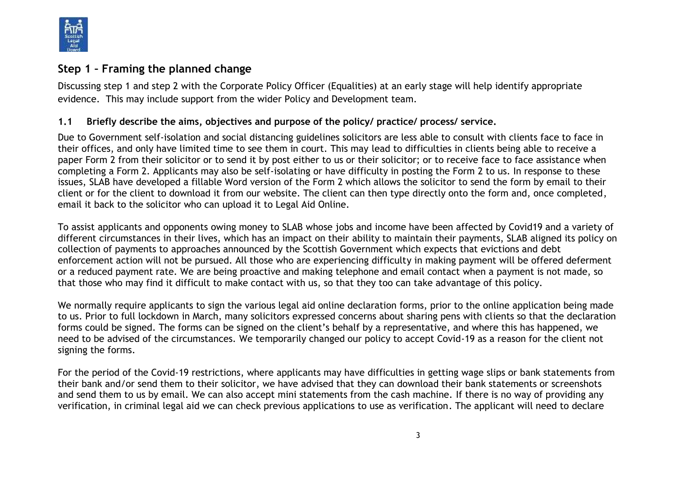

# **Step 1 – Framing the planned change**

Discussing step 1 and step 2 with the Corporate Policy Officer (Equalities) at an early stage will help identify appropriate evidence. This may include support from the wider Policy and Development team.

#### **1.1 Briefly describe the aims, objectives and purpose of the policy/ practice/ process/ service.**

Due to Government self-isolation and social distancing guidelines solicitors are less able to consult with clients face to face in their offices, and only have limited time to see them in court. This may lead to difficulties in clients being able to receive a paper Form 2 from their solicitor or to send it by post either to us or their solicitor; or to receive face to face assistance when completing a Form 2. Applicants may also be self-isolating or have difficulty in posting the Form 2 to us. In response to these issues, SLAB have developed a fillable Word version of the Form 2 which allows the solicitor to send the form by email to their client or for the client to download it from our website. The client can then type directly onto the form and, once completed, email it back to the solicitor who can upload it to Legal Aid Online.

To assist applicants and opponents owing money to SLAB whose jobs and income have been affected by Covid19 and a variety of different circumstances in their lives, which has an impact on their ability to maintain their payments, SLAB aligned its policy on collection of payments to approaches announced by the Scottish Government which expects that evictions and debt enforcement action will not be pursued. All those who are experiencing difficulty in making payment will be offered deferment or a reduced payment rate. We are being proactive and making telephone and email contact when a payment is not made, so that those who may find it difficult to make contact with us, so that they too can take advantage of this policy.

We normally require applicants to sign the various legal aid online declaration forms, prior to the online application being made to us. Prior to full lockdown in March, many solicitors expressed concerns about sharing pens with clients so that the declaration forms could be signed. The forms can be signed on the client's behalf by a representative, and where this has happened, we need to be advised of the circumstances. We temporarily changed our policy to accept Covid-19 as a reason for the client not signing the forms.

For the period of the Covid-19 restrictions, where applicants may have difficulties in getting wage slips or bank statements from their bank and/or send them to their solicitor, we have advised that they can download their bank statements or screenshots and send them to us by email. We can also accept mini statements from the cash machine. If there is no way of providing any verification, in criminal legal aid we can check previous applications to use as verification. The applicant will need to declare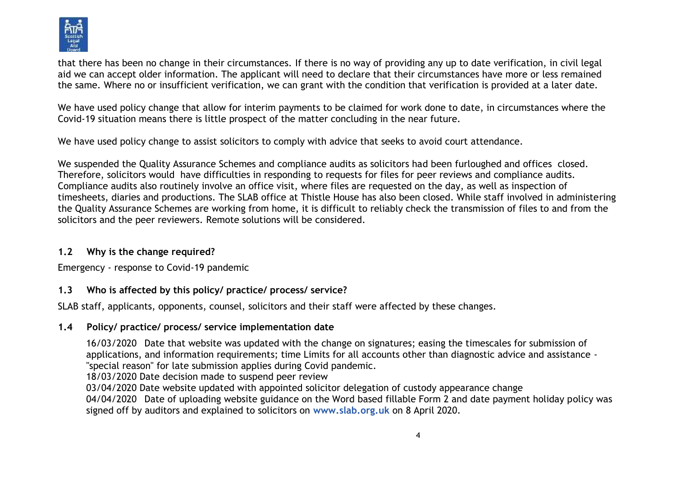

that there has been no change in their circumstances. If there is no way of providing any up to date verification, in civil legal aid we can accept older information. The applicant will need to declare that their circumstances have more or less remained the same. Where no or insufficient verification, we can grant with the condition that verification is provided at a later date.

We have used policy change that allow for interim payments to be claimed for work done to date, in circumstances where the Covid-19 situation means there is little prospect of the matter concluding in the near future.

We have used policy change to assist solicitors to comply with advice that seeks to avoid court attendance.

We suspended the Quality Assurance Schemes and compliance audits as solicitors had been furloughed and offices closed. Therefore, solicitors would have difficulties in responding to requests for files for peer reviews and compliance audits. Compliance audits also routinely involve an office visit, where files are requested on the day, as well as inspection of timesheets, diaries and productions. The SLAB office at Thistle House has also been closed. While staff involved in administering the Quality Assurance Schemes are working from home, it is difficult to reliably check the transmission of files to and from the solicitors and the peer reviewers. Remote solutions will be considered.

#### **1.2 Why is the change required?**

Emergency - response to Covid-19 pandemic

### **1.3 Who is affected by this policy/ practice/ process/ service?**

SLAB staff, applicants, opponents, counsel, solicitors and their staff were affected by these changes.

## **1.4 Policy/ practice/ process/ service implementation date**

16/03/2020 Date that website was updated with the change on signatures; easing the timescales for submission of applications, and information requirements; time Limits for all accounts other than diagnostic advice and assistance - "special reason" for late submission applies during Covid pandemic.

18/03/2020 Date decision made to suspend peer review

03/04/2020 Date website updated with appointed solicitor delegation of custody appearance change

04/04/2020 Date of uploading website guidance on the Word based fillable Form 2 and date payment holiday policy was signed off by auditors and explained to solicitors on **[www.slab.org.uk](http://www.slab.org.uk/)** on 8 April 2020.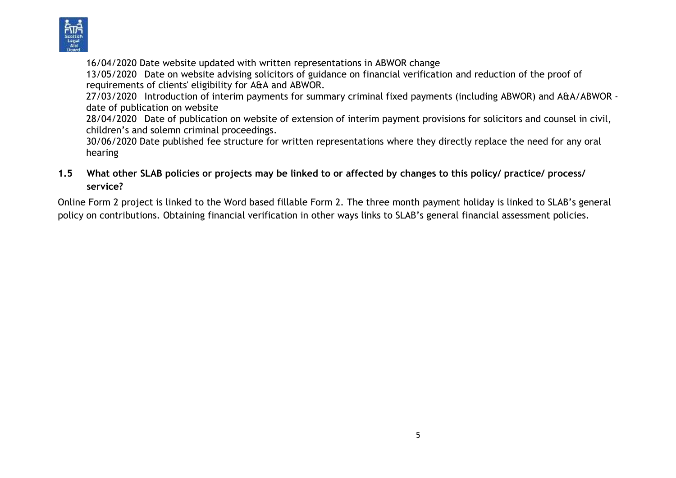

16/04/2020 Date website updated with written representations in ABWOR change

13/05/2020 Date on website advising solicitors of guidance on financial verification and reduction of the proof of requirements of clients' eligibility for A&A and ABWOR.

27/03/2020 Introduction of interim payments for summary criminal fixed payments (including ABWOR) and A&A/ABWOR date of publication on website

28/04/2020 Date of publication on website of extension of interim payment provisions for solicitors and counsel in civil, children's and solemn criminal proceedings.

30/06/2020 Date published fee structure for written representations where they directly replace the need for any oral hearing

### **1.5 What other SLAB policies or projects may be linked to or affected by changes to this policy/ practice/ process/ service?**

Online Form 2 project is linked to the Word based fillable Form 2. The three month payment holiday is linked to SLAB's general policy on contributions. Obtaining financial verification in other ways links to SLAB's general financial assessment policies.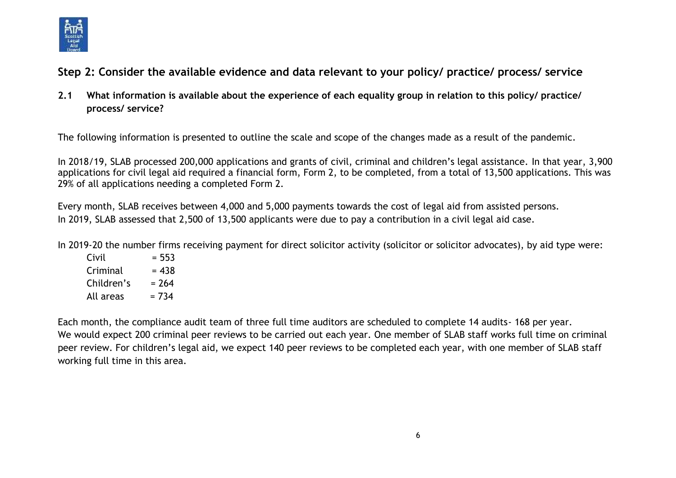

# **Step 2: Consider the available evidence and data relevant to your policy/ practice/ process/ service**

**2.1 What information is available about the experience of each equality group in relation to this policy/ practice/ process/ service?** 

The following information is presented to outline the scale and scope of the changes made as a result of the pandemic.

In 2018/19, SLAB processed 200,000 applications and grants of civil, criminal and children's legal assistance. In that year, 3,900 applications for civil legal aid required a financial form, Form 2, to be completed, from a total of 13,500 applications. This was 29% of all applications needing a completed Form 2.

Every month, SLAB receives between 4,000 and 5,000 payments towards the cost of legal aid from assisted persons. In 2019, SLAB assessed that 2,500 of 13,500 applicants were due to pay a contribution in a civil legal aid case.

In 2019-20 the number firms receiving payment for direct solicitor activity (solicitor or solicitor advocates), by aid type were:

 $Civil = 553$  $Criminal = 438$ Children's  $= 264$ All areas  $= 734$ 

Each month, the compliance audit team of three full time auditors are scheduled to complete 14 audits- 168 per year. We would expect 200 criminal peer reviews to be carried out each year. One member of SLAB staff works full time on criminal peer review. For children's legal aid, we expect 140 peer reviews to be completed each year, with one member of SLAB staff working full time in this area.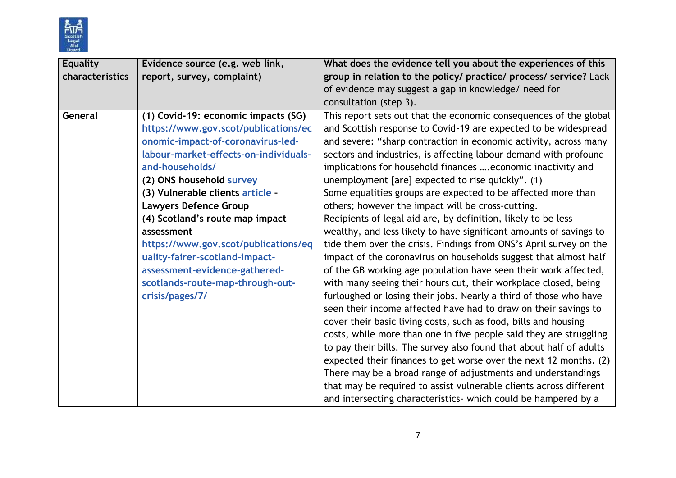

| <b>Equality</b> | Evidence source (e.g. web link,                                                                                                                                                                                                                                                                                                                                                                                                                                                                 | What does the evidence tell you about the experiences of this                                                                                                                                                                                                                                                                                                                                                                                                                                                                                                                                                                                                                                                                                                                                                                                                                                                                                                                                                                                                                                                                                                                                                                                                                                                                                                                                                                                                                                                    |
|-----------------|-------------------------------------------------------------------------------------------------------------------------------------------------------------------------------------------------------------------------------------------------------------------------------------------------------------------------------------------------------------------------------------------------------------------------------------------------------------------------------------------------|------------------------------------------------------------------------------------------------------------------------------------------------------------------------------------------------------------------------------------------------------------------------------------------------------------------------------------------------------------------------------------------------------------------------------------------------------------------------------------------------------------------------------------------------------------------------------------------------------------------------------------------------------------------------------------------------------------------------------------------------------------------------------------------------------------------------------------------------------------------------------------------------------------------------------------------------------------------------------------------------------------------------------------------------------------------------------------------------------------------------------------------------------------------------------------------------------------------------------------------------------------------------------------------------------------------------------------------------------------------------------------------------------------------------------------------------------------------------------------------------------------------|
| characteristics | report, survey, complaint)                                                                                                                                                                                                                                                                                                                                                                                                                                                                      | group in relation to the policy/ practice/ process/ service? Lack                                                                                                                                                                                                                                                                                                                                                                                                                                                                                                                                                                                                                                                                                                                                                                                                                                                                                                                                                                                                                                                                                                                                                                                                                                                                                                                                                                                                                                                |
|                 |                                                                                                                                                                                                                                                                                                                                                                                                                                                                                                 | of evidence may suggest a gap in knowledge/ need for                                                                                                                                                                                                                                                                                                                                                                                                                                                                                                                                                                                                                                                                                                                                                                                                                                                                                                                                                                                                                                                                                                                                                                                                                                                                                                                                                                                                                                                             |
|                 |                                                                                                                                                                                                                                                                                                                                                                                                                                                                                                 | consultation (step 3).                                                                                                                                                                                                                                                                                                                                                                                                                                                                                                                                                                                                                                                                                                                                                                                                                                                                                                                                                                                                                                                                                                                                                                                                                                                                                                                                                                                                                                                                                           |
| General         | (1) Covid-19: economic impacts (SG)<br>https://www.gov.scot/publications/ec<br>onomic-impact-of-coronavirus-led-<br>labour-market-effects-on-individuals-<br>and-households/<br>(2) ONS household survey<br>(3) Vulnerable clients article -<br><b>Lawyers Defence Group</b><br>(4) Scotland's route map impact<br>assessment<br>https://www.gov.scot/publications/eq<br>uality-fairer-scotland-impact-<br>assessment-evidence-gathered-<br>scotlands-route-map-through-out-<br>crisis/pages/7/ | This report sets out that the economic consequences of the global<br>and Scottish response to Covid-19 are expected to be widespread<br>and severe: "sharp contraction in economic activity, across many<br>sectors and industries, is affecting labour demand with profound<br>implications for household finances  economic inactivity and<br>unemployment [are] expected to rise quickly". (1)<br>Some equalities groups are expected to be affected more than<br>others; however the impact will be cross-cutting.<br>Recipients of legal aid are, by definition, likely to be less<br>wealthy, and less likely to have significant amounts of savings to<br>tide them over the crisis. Findings from ONS's April survey on the<br>impact of the coronavirus on households suggest that almost half<br>of the GB working age population have seen their work affected,<br>with many seeing their hours cut, their workplace closed, being<br>furloughed or losing their jobs. Nearly a third of those who have<br>seen their income affected have had to draw on their savings to<br>cover their basic living costs, such as food, bills and housing<br>costs, while more than one in five people said they are struggling<br>to pay their bills. The survey also found that about half of adults<br>expected their finances to get worse over the next 12 months. (2)<br>There may be a broad range of adjustments and understandings<br>that may be required to assist vulnerable clients across different |
|                 |                                                                                                                                                                                                                                                                                                                                                                                                                                                                                                 | and intersecting characteristics- which could be hampered by a                                                                                                                                                                                                                                                                                                                                                                                                                                                                                                                                                                                                                                                                                                                                                                                                                                                                                                                                                                                                                                                                                                                                                                                                                                                                                                                                                                                                                                                   |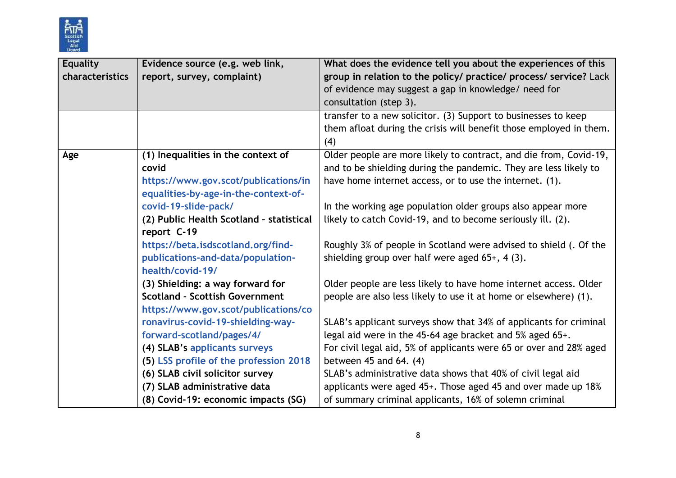

| <b>Equality</b> | Evidence source (e.g. web link,                                               | What does the evidence tell you about the experiences of this             |
|-----------------|-------------------------------------------------------------------------------|---------------------------------------------------------------------------|
| characteristics | report, survey, complaint)                                                    | group in relation to the policy/ practice/ process/ service? Lack         |
|                 |                                                                               | of evidence may suggest a gap in knowledge/ need for                      |
|                 |                                                                               | consultation (step 3).                                                    |
|                 |                                                                               | transfer to a new solicitor. (3) Support to businesses to keep            |
|                 |                                                                               | them afloat during the crisis will benefit those employed in them.<br>(4) |
| Age             | (1) Inequalities in the context of                                            | Older people are more likely to contract, and die from, Covid-19,         |
|                 | covid                                                                         | and to be shielding during the pandemic. They are less likely to          |
|                 | https://www.gov.scot/publications/in<br>equalities-by-age-in-the-context-of-  | have home internet access, or to use the internet. (1).                   |
|                 | covid-19-slide-pack/                                                          | In the working age population older groups also appear more               |
|                 | (2) Public Health Scotland - statistical                                      | likely to catch Covid-19, and to become seriously ill. (2).               |
|                 | report C-19                                                                   |                                                                           |
|                 | https://beta.isdscotland.org/find-                                            | Roughly 3% of people in Scotland were advised to shield (. Of the         |
|                 | publications-and-data/population-<br>health/covid-19/                         | shielding group over half were aged $65+$ , 4 (3).                        |
|                 | (3) Shielding: a way forward for                                              | Older people are less likely to have home internet access. Older          |
|                 | <b>Scotland - Scottish Government</b><br>https://www.gov.scot/publications/co | people are also less likely to use it at home or elsewhere) (1).          |
|                 | ronavirus-covid-19-shielding-way-                                             | SLAB's applicant surveys show that 34% of applicants for criminal         |
|                 | forward-scotland/pages/4/                                                     | legal aid were in the 45-64 age bracket and 5% aged 65+.                  |
|                 | (4) SLAB's applicants surveys                                                 | For civil legal aid, 5% of applicants were 65 or over and 28% aged        |
|                 | (5) LSS profile of the profession 2018                                        | between $45$ and $64. (4)$                                                |
|                 | (6) SLAB civil solicitor survey                                               | SLAB's administrative data shows that 40% of civil legal aid              |
|                 | (7) SLAB administrative data                                                  | applicants were aged 45+. Those aged 45 and over made up 18%              |
|                 | (8) Covid-19: economic impacts (SG)                                           | of summary criminal applicants, 16% of solemn criminal                    |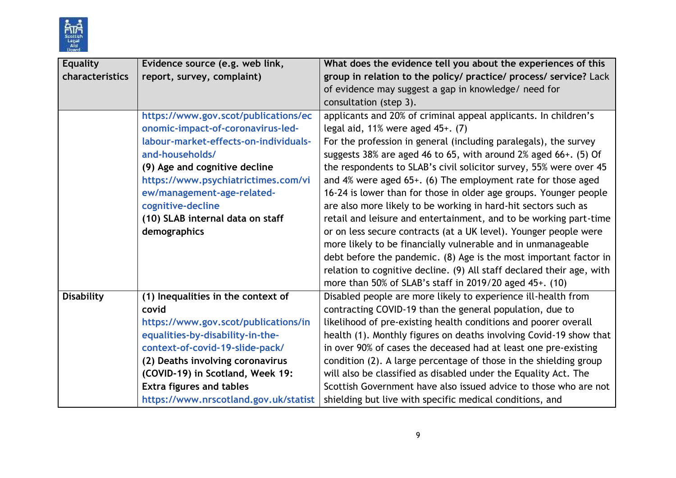

| <b>Equality</b>   | Evidence source (e.g. web link,       | What does the evidence tell you about the experiences of this         |  |
|-------------------|---------------------------------------|-----------------------------------------------------------------------|--|
| characteristics   | report, survey, complaint)            | group in relation to the policy/ practice/ process/ service? Lack     |  |
|                   |                                       | of evidence may suggest a gap in knowledge/ need for                  |  |
|                   |                                       | consultation (step 3).                                                |  |
|                   | https://www.gov.scot/publications/ec  | applicants and 20% of criminal appeal applicants. In children's       |  |
|                   | onomic-impact-of-coronavirus-led-     | legal aid, $11\%$ were aged $45+$ . (7)                               |  |
|                   | labour-market-effects-on-individuals- | For the profession in general (including paralegals), the survey      |  |
|                   | and-households/                       | suggests 38% are aged 46 to 65, with around 2% aged 66+. (5) Of       |  |
|                   | (9) Age and cognitive decline         | the respondents to SLAB's civil solicitor survey, 55% were over 45    |  |
|                   | https://www.psychiatrictimes.com/vi   | and 4% were aged 65+. (6) The employment rate for those aged          |  |
|                   | ew/management-age-related-            | 16-24 is lower than for those in older age groups. Younger people     |  |
|                   | cognitive-decline                     | are also more likely to be working in hard-hit sectors such as        |  |
|                   | (10) SLAB internal data on staff      | retail and leisure and entertainment, and to be working part-time     |  |
|                   | demographics                          | or on less secure contracts (at a UK level). Younger people were      |  |
|                   |                                       | more likely to be financially vulnerable and in unmanageable          |  |
|                   |                                       | debt before the pandemic. (8) Age is the most important factor in     |  |
|                   |                                       | relation to cognitive decline. (9) All staff declared their age, with |  |
|                   |                                       | more than 50% of SLAB's staff in 2019/20 aged 45+. (10)               |  |
| <b>Disability</b> | (1) Inequalities in the context of    | Disabled people are more likely to experience ill-health from         |  |
|                   | covid                                 | contracting COVID-19 than the general population, due to              |  |
|                   | https://www.gov.scot/publications/in  | likelihood of pre-existing health conditions and poorer overall       |  |
|                   | equalities-by-disability-in-the-      | health (1). Monthly figures on deaths involving Covid-19 show that    |  |
|                   | context-of-covid-19-slide-pack/       | in over 90% of cases the deceased had at least one pre-existing       |  |
|                   | (2) Deaths involving coronavirus      | condition (2). A large percentage of those in the shielding group     |  |
|                   | (COVID-19) in Scotland, Week 19:      | will also be classified as disabled under the Equality Act. The       |  |
|                   | <b>Extra figures and tables</b>       | Scottish Government have also issued advice to those who are not      |  |
|                   | https://www.nrscotland.gov.uk/statist | shielding but live with specific medical conditions, and              |  |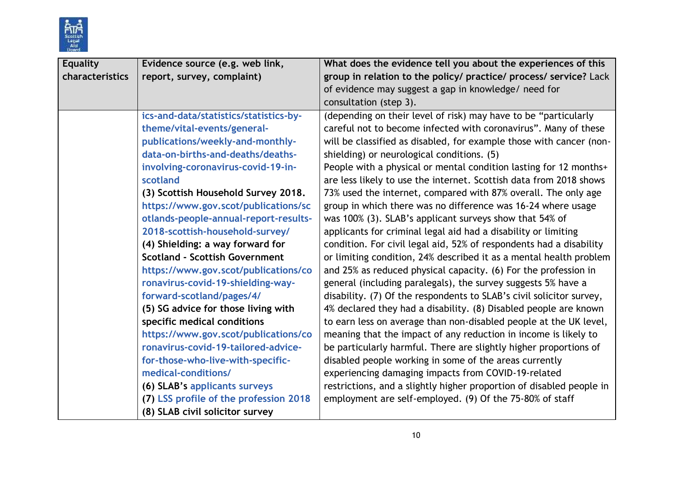

| <b>Equality</b> | Evidence source (e.g. web link,        | What does the evidence tell you about the experiences of this        |
|-----------------|----------------------------------------|----------------------------------------------------------------------|
| characteristics | report, survey, complaint)             | group in relation to the policy/ practice/ process/ service? Lack    |
|                 |                                        | of evidence may suggest a gap in knowledge/ need for                 |
|                 |                                        | consultation (step 3).                                               |
|                 | ics-and-data/statistics/statistics-by- | (depending on their level of risk) may have to be "particularly      |
|                 | theme/vital-events/general-            | careful not to become infected with coronavirus". Many of these      |
|                 | publications/weekly-and-monthly-       | will be classified as disabled, for example those with cancer (non-  |
|                 | data-on-births-and-deaths/deaths-      | shielding) or neurological conditions. (5)                           |
|                 | involving-coronavirus-covid-19-in-     | People with a physical or mental condition lasting for 12 months+    |
|                 | scotland                               | are less likely to use the internet. Scottish data from 2018 shows   |
|                 | (3) Scottish Household Survey 2018.    | 73% used the internet, compared with 87% overall. The only age       |
|                 | https://www.gov.scot/publications/sc   | group in which there was no difference was 16-24 where usage         |
|                 | otlands-people-annual-report-results-  | was 100% (3). SLAB's applicant surveys show that 54% of              |
|                 | 2018-scottish-household-survey/        | applicants for criminal legal aid had a disability or limiting       |
|                 | (4) Shielding: a way forward for       | condition. For civil legal aid, 52% of respondents had a disability  |
|                 | <b>Scotland - Scottish Government</b>  | or limiting condition, 24% described it as a mental health problem   |
|                 | https://www.gov.scot/publications/co   | and 25% as reduced physical capacity. (6) For the profession in      |
|                 | ronavirus-covid-19-shielding-way-      | general (including paralegals), the survey suggests 5% have a        |
|                 | forward-scotland/pages/4/              | disability. (7) Of the respondents to SLAB's civil solicitor survey, |
|                 | (5) SG advice for those living with    | 4% declared they had a disability. (8) Disabled people are known     |
|                 | specific medical conditions            | to earn less on average than non-disabled people at the UK level,    |
|                 | https://www.gov.scot/publications/co   | meaning that the impact of any reduction in income is likely to      |
|                 | ronavirus-covid-19-tailored-advice-    | be particularly harmful. There are slightly higher proportions of    |
|                 | for-those-who-live-with-specific-      | disabled people working in some of the areas currently               |
|                 | medical-conditions/                    | experiencing damaging impacts from COVID-19-related                  |
|                 | (6) SLAB's applicants surveys          | restrictions, and a slightly higher proportion of disabled people in |
|                 | (7) LSS profile of the profession 2018 | employment are self-employed. (9) Of the 75-80% of staff             |
|                 | (8) SLAB civil solicitor survey        |                                                                      |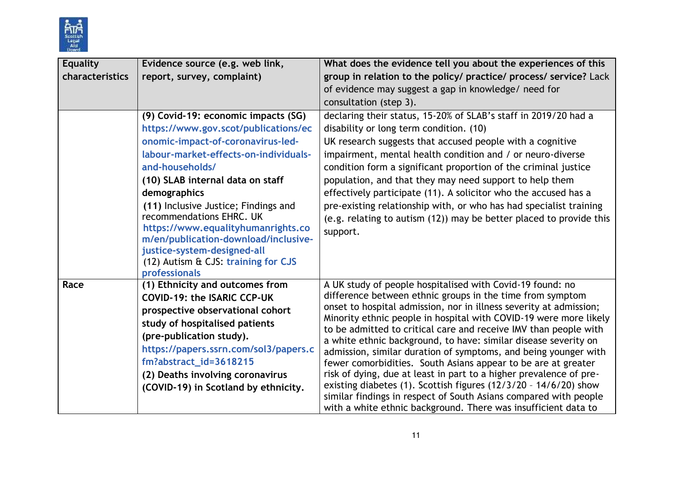

| <b>Equality</b> | Evidence source (e.g. web link,                                                                                                                                                                                                       | What does the evidence tell you about the experiences of this                                                                                         |
|-----------------|---------------------------------------------------------------------------------------------------------------------------------------------------------------------------------------------------------------------------------------|-------------------------------------------------------------------------------------------------------------------------------------------------------|
| characteristics | report, survey, complaint)                                                                                                                                                                                                            | group in relation to the policy/ practice/ process/ service? Lack                                                                                     |
|                 |                                                                                                                                                                                                                                       | of evidence may suggest a gap in knowledge/ need for                                                                                                  |
|                 |                                                                                                                                                                                                                                       | consultation (step 3).                                                                                                                                |
|                 | (9) Covid-19: economic impacts (SG)                                                                                                                                                                                                   | declaring their status, 15-20% of SLAB's staff in 2019/20 had a                                                                                       |
|                 | https://www.gov.scot/publications/ec                                                                                                                                                                                                  | disability or long term condition. (10)                                                                                                               |
|                 | onomic-impact-of-coronavirus-led-                                                                                                                                                                                                     | UK research suggests that accused people with a cognitive                                                                                             |
|                 | labour-market-effects-on-individuals-                                                                                                                                                                                                 | impairment, mental health condition and / or neuro-diverse                                                                                            |
|                 | and-households/                                                                                                                                                                                                                       | condition form a significant proportion of the criminal justice                                                                                       |
|                 | (10) SLAB internal data on staff                                                                                                                                                                                                      | population, and that they may need support to help them                                                                                               |
|                 | demographics                                                                                                                                                                                                                          | effectively participate (11). A solicitor who the accused has a                                                                                       |
|                 | (11) Inclusive Justice; Findings and<br>recommendations EHRC. UK<br>https://www.equalityhumanrights.co<br>m/en/publication-download/inclusive-<br>justice-system-designed-all<br>(12) Autism & CJS: training for CJS<br>professionals | pre-existing relationship with, or who has had specialist training<br>(e.g. relating to autism (12)) may be better placed to provide this<br>support. |
| Race            | (1) Ethnicity and outcomes from                                                                                                                                                                                                       | A UK study of people hospitalised with Covid-19 found: no                                                                                             |
|                 | <b>COVID-19: the ISARIC CCP-UK</b>                                                                                                                                                                                                    | difference between ethnic groups in the time from symptom<br>onset to hospital admission, nor in illness severity at admission;                       |
|                 | prospective observational cohort                                                                                                                                                                                                      | Minority ethnic people in hospital with COVID-19 were more likely                                                                                     |
|                 | study of hospitalised patients                                                                                                                                                                                                        | to be admitted to critical care and receive IMV than people with                                                                                      |
|                 | (pre-publication study).                                                                                                                                                                                                              | a white ethnic background, to have: similar disease severity on                                                                                       |
|                 | https://papers.ssrn.com/sol3/papers.c                                                                                                                                                                                                 | admission, similar duration of symptoms, and being younger with                                                                                       |
|                 | fm?abstract_id=3618215                                                                                                                                                                                                                | fewer comorbidities. South Asians appear to be are at greater                                                                                         |
|                 | (2) Deaths involving coronavirus                                                                                                                                                                                                      | risk of dying, due at least in part to a higher prevalence of pre-<br>existing diabetes (1). Scottish figures $(12/3/20 - 14/6/20)$ show              |
|                 | (COVID-19) in Scotland by ethnicity.                                                                                                                                                                                                  | similar findings in respect of South Asians compared with people                                                                                      |
|                 |                                                                                                                                                                                                                                       | with a white ethnic background. There was insufficient data to                                                                                        |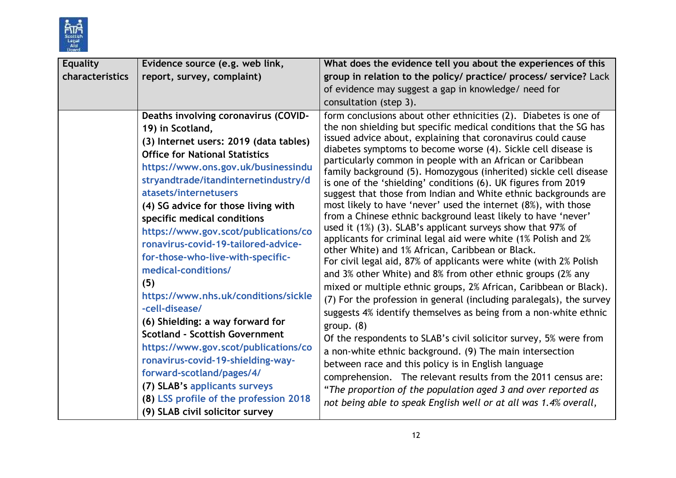

| <b>Equality</b> | Evidence source (e.g. web link,                                                                                                                                                                                                                                                                                                                                                                                                                                                                                                                                                                                                                                                                                                                                                                                                            | What does the evidence tell you about the experiences of this                                                                                                                                                                                                                                                                                                                                                                                                                                                                                                                                                                                                                                                                                                                                                                                                                                                                                                                                                                                                                                                                                                                                                                                                                                                                                                                                                                                                                                                                                                                                                                                  |
|-----------------|--------------------------------------------------------------------------------------------------------------------------------------------------------------------------------------------------------------------------------------------------------------------------------------------------------------------------------------------------------------------------------------------------------------------------------------------------------------------------------------------------------------------------------------------------------------------------------------------------------------------------------------------------------------------------------------------------------------------------------------------------------------------------------------------------------------------------------------------|------------------------------------------------------------------------------------------------------------------------------------------------------------------------------------------------------------------------------------------------------------------------------------------------------------------------------------------------------------------------------------------------------------------------------------------------------------------------------------------------------------------------------------------------------------------------------------------------------------------------------------------------------------------------------------------------------------------------------------------------------------------------------------------------------------------------------------------------------------------------------------------------------------------------------------------------------------------------------------------------------------------------------------------------------------------------------------------------------------------------------------------------------------------------------------------------------------------------------------------------------------------------------------------------------------------------------------------------------------------------------------------------------------------------------------------------------------------------------------------------------------------------------------------------------------------------------------------------------------------------------------------------|
| characteristics | report, survey, complaint)                                                                                                                                                                                                                                                                                                                                                                                                                                                                                                                                                                                                                                                                                                                                                                                                                 | group in relation to the policy/ practice/ process/ service? Lack                                                                                                                                                                                                                                                                                                                                                                                                                                                                                                                                                                                                                                                                                                                                                                                                                                                                                                                                                                                                                                                                                                                                                                                                                                                                                                                                                                                                                                                                                                                                                                              |
|                 |                                                                                                                                                                                                                                                                                                                                                                                                                                                                                                                                                                                                                                                                                                                                                                                                                                            | of evidence may suggest a gap in knowledge/ need for                                                                                                                                                                                                                                                                                                                                                                                                                                                                                                                                                                                                                                                                                                                                                                                                                                                                                                                                                                                                                                                                                                                                                                                                                                                                                                                                                                                                                                                                                                                                                                                           |
|                 |                                                                                                                                                                                                                                                                                                                                                                                                                                                                                                                                                                                                                                                                                                                                                                                                                                            | consultation (step 3).                                                                                                                                                                                                                                                                                                                                                                                                                                                                                                                                                                                                                                                                                                                                                                                                                                                                                                                                                                                                                                                                                                                                                                                                                                                                                                                                                                                                                                                                                                                                                                                                                         |
|                 | Deaths involving coronavirus (COVID-<br>19) in Scotland,<br>(3) Internet users: 2019 (data tables)<br><b>Office for National Statistics</b><br>https://www.ons.gov.uk/businessindu<br>stryandtrade/itandinternetindustry/d<br>atasets/internetusers<br>(4) SG advice for those living with<br>specific medical conditions<br>https://www.gov.scot/publications/co<br>ronavirus-covid-19-tailored-advice-<br>for-those-who-live-with-specific-<br>medical-conditions/<br>(5)<br>https://www.nhs.uk/conditions/sickle<br>-cell-disease/<br>(6) Shielding: a way forward for<br><b>Scotland - Scottish Government</b><br>https://www.gov.scot/publications/co<br>ronavirus-covid-19-shielding-way-<br>forward-scotland/pages/4/<br>(7) SLAB's applicants surveys<br>(8) LSS profile of the profession 2018<br>(9) SLAB civil solicitor survey | form conclusions about other ethnicities (2). Diabetes is one of<br>the non shielding but specific medical conditions that the SG has<br>issued advice about, explaining that coronavirus could cause<br>diabetes symptoms to become worse (4). Sickle cell disease is<br>particularly common in people with an African or Caribbean<br>family background (5). Homozygous (inherited) sickle cell disease<br>is one of the 'shielding' conditions (6). UK figures from 2019<br>suggest that those from Indian and White ethnic backgrounds are<br>most likely to have 'never' used the internet (8%), with those<br>from a Chinese ethnic background least likely to have 'never'<br>used it $(1%)$ $(3)$ . SLAB's applicant surveys show that 97% of<br>applicants for criminal legal aid were white (1% Polish and 2%<br>other White) and 1% African, Caribbean or Black.<br>For civil legal aid, 87% of applicants were white (with 2% Polish<br>and 3% other White) and 8% from other ethnic groups (2% any<br>mixed or multiple ethnic groups, 2% African, Caribbean or Black).<br>(7) For the profession in general (including paralegals), the survey<br>suggests 4% identify themselves as being from a non-white ethnic<br>group. $(8)$<br>Of the respondents to SLAB's civil solicitor survey, 5% were from<br>a non-white ethnic background. (9) The main intersection<br>between race and this policy is in English language<br>comprehension. The relevant results from the 2011 census are:<br>"The proportion of the population aged 3 and over reported as<br>not being able to speak English well or at all was 1.4% overall, |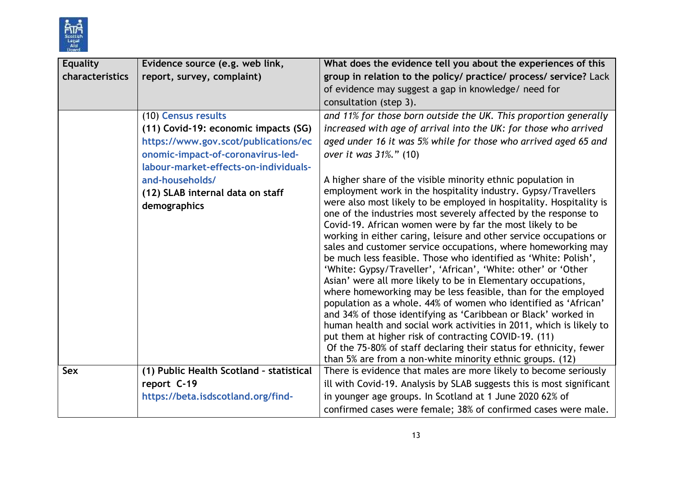

| <b>Equality</b> | Evidence source (e.g. web link,                  | What does the evidence tell you about the experiences of this                                                                                                                                                                                                                                                                                                                                                                                                                                                                                                                                                                                                                                                                                                                                                                                                                                                                                                                                                                                                                            |
|-----------------|--------------------------------------------------|------------------------------------------------------------------------------------------------------------------------------------------------------------------------------------------------------------------------------------------------------------------------------------------------------------------------------------------------------------------------------------------------------------------------------------------------------------------------------------------------------------------------------------------------------------------------------------------------------------------------------------------------------------------------------------------------------------------------------------------------------------------------------------------------------------------------------------------------------------------------------------------------------------------------------------------------------------------------------------------------------------------------------------------------------------------------------------------|
| characteristics | report, survey, complaint)                       | group in relation to the policy/ practice/ process/ service? Lack                                                                                                                                                                                                                                                                                                                                                                                                                                                                                                                                                                                                                                                                                                                                                                                                                                                                                                                                                                                                                        |
|                 |                                                  | of evidence may suggest a gap in knowledge/ need for                                                                                                                                                                                                                                                                                                                                                                                                                                                                                                                                                                                                                                                                                                                                                                                                                                                                                                                                                                                                                                     |
|                 |                                                  | consultation (step 3).                                                                                                                                                                                                                                                                                                                                                                                                                                                                                                                                                                                                                                                                                                                                                                                                                                                                                                                                                                                                                                                                   |
|                 | (10) Census results                              | and 11% for those born outside the UK. This proportion generally                                                                                                                                                                                                                                                                                                                                                                                                                                                                                                                                                                                                                                                                                                                                                                                                                                                                                                                                                                                                                         |
|                 | (11) Covid-19: economic impacts (SG)             | increased with age of arrival into the UK: for those who arrived                                                                                                                                                                                                                                                                                                                                                                                                                                                                                                                                                                                                                                                                                                                                                                                                                                                                                                                                                                                                                         |
|                 | https://www.gov.scot/publications/ec             | aged under 16 it was 5% while for those who arrived aged 65 and                                                                                                                                                                                                                                                                                                                                                                                                                                                                                                                                                                                                                                                                                                                                                                                                                                                                                                                                                                                                                          |
|                 | onomic-impact-of-coronavirus-led-                | over it was 31%." (10)                                                                                                                                                                                                                                                                                                                                                                                                                                                                                                                                                                                                                                                                                                                                                                                                                                                                                                                                                                                                                                                                   |
|                 | labour-market-effects-on-individuals-            |                                                                                                                                                                                                                                                                                                                                                                                                                                                                                                                                                                                                                                                                                                                                                                                                                                                                                                                                                                                                                                                                                          |
|                 | and-households/                                  | A higher share of the visible minority ethnic population in                                                                                                                                                                                                                                                                                                                                                                                                                                                                                                                                                                                                                                                                                                                                                                                                                                                                                                                                                                                                                              |
|                 | (12) SLAB internal data on staff<br>demographics | employment work in the hospitality industry. Gypsy/Travellers<br>were also most likely to be employed in hospitality. Hospitality is<br>one of the industries most severely affected by the response to<br>Covid-19. African women were by far the most likely to be<br>working in either caring, leisure and other service occupations or<br>sales and customer service occupations, where homeworking may<br>be much less feasible. Those who identified as 'White: Polish',<br>'White: Gypsy/Traveller', 'African', 'White: other' or 'Other<br>Asian' were all more likely to be in Elementary occupations,<br>where homeworking may be less feasible, than for the employed<br>population as a whole. 44% of women who identified as 'African'<br>and 34% of those identifying as 'Caribbean or Black' worked in<br>human health and social work activities in 2011, which is likely to<br>put them at higher risk of contracting COVID-19. (11)<br>Of the 75-80% of staff declaring their status for ethnicity, fewer<br>than 5% are from a non-white minority ethnic groups. (12) |
| Sex             | (1) Public Health Scotland - statistical         | There is evidence that males are more likely to become seriously                                                                                                                                                                                                                                                                                                                                                                                                                                                                                                                                                                                                                                                                                                                                                                                                                                                                                                                                                                                                                         |
|                 | report C-19                                      | ill with Covid-19. Analysis by SLAB suggests this is most significant                                                                                                                                                                                                                                                                                                                                                                                                                                                                                                                                                                                                                                                                                                                                                                                                                                                                                                                                                                                                                    |
|                 | https://beta.isdscotland.org/find-               | in younger age groups. In Scotland at 1 June 2020 62% of                                                                                                                                                                                                                                                                                                                                                                                                                                                                                                                                                                                                                                                                                                                                                                                                                                                                                                                                                                                                                                 |
|                 |                                                  | confirmed cases were female; 38% of confirmed cases were male.                                                                                                                                                                                                                                                                                                                                                                                                                                                                                                                                                                                                                                                                                                                                                                                                                                                                                                                                                                                                                           |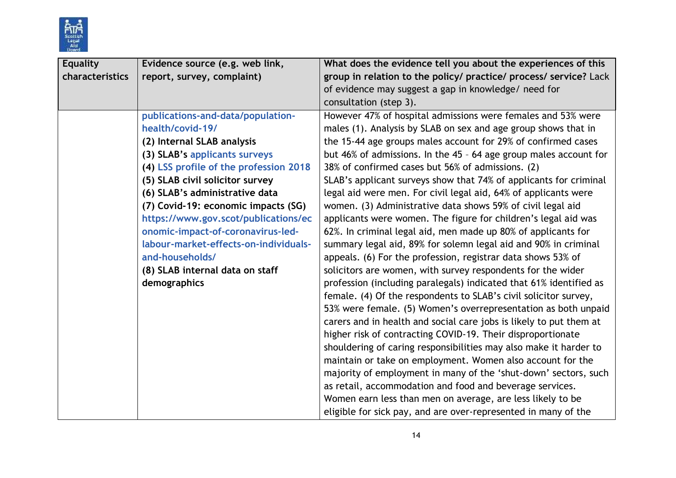

| <b>Equality</b> | Evidence source (e.g. web link,        | What does the evidence tell you about the experiences of this      |  |
|-----------------|----------------------------------------|--------------------------------------------------------------------|--|
| characteristics | report, survey, complaint)             | group in relation to the policy/ practice/ process/ service? Lack  |  |
|                 |                                        | of evidence may suggest a gap in knowledge/ need for               |  |
|                 |                                        | consultation (step 3).                                             |  |
|                 | publications-and-data/population-      | However 47% of hospital admissions were females and 53% were       |  |
|                 | health/covid-19/                       | males (1). Analysis by SLAB on sex and age group shows that in     |  |
|                 | (2) Internal SLAB analysis             | the 15-44 age groups males account for 29% of confirmed cases      |  |
|                 | (3) SLAB's applicants surveys          | but 46% of admissions. In the 45 - 64 age group males account for  |  |
|                 | (4) LSS profile of the profession 2018 | 38% of confirmed cases but 56% of admissions. (2)                  |  |
|                 | (5) SLAB civil solicitor survey        | SLAB's applicant surveys show that 74% of applicants for criminal  |  |
|                 | (6) SLAB's administrative data         | legal aid were men. For civil legal aid, 64% of applicants were    |  |
|                 | (7) Covid-19: economic impacts (SG)    | women. (3) Administrative data shows 59% of civil legal aid        |  |
|                 | https://www.gov.scot/publications/ec   | applicants were women. The figure for children's legal aid was     |  |
|                 | onomic-impact-of-coronavirus-led-      | 62%. In criminal legal aid, men made up 80% of applicants for      |  |
|                 | labour-market-effects-on-individuals-  | summary legal aid, 89% for solemn legal aid and 90% in criminal    |  |
|                 | and-households/                        | appeals. (6) For the profession, registrar data shows 53% of       |  |
|                 | (8) SLAB internal data on staff        | solicitors are women, with survey respondents for the wider        |  |
|                 | demographics                           | profession (including paralegals) indicated that 61% identified as |  |
|                 |                                        | female. (4) Of the respondents to SLAB's civil solicitor survey,   |  |
|                 |                                        | 53% were female. (5) Women's overrepresentation as both unpaid     |  |
|                 |                                        | carers and in health and social care jobs is likely to put them at |  |
|                 |                                        | higher risk of contracting COVID-19. Their disproportionate        |  |
|                 |                                        | shouldering of caring responsibilities may also make it harder to  |  |
|                 |                                        | maintain or take on employment. Women also account for the         |  |
|                 |                                        | majority of employment in many of the 'shut-down' sectors, such    |  |
|                 |                                        | as retail, accommodation and food and beverage services.           |  |
|                 |                                        | Women earn less than men on average, are less likely to be         |  |
|                 |                                        | eligible for sick pay, and are over-represented in many of the     |  |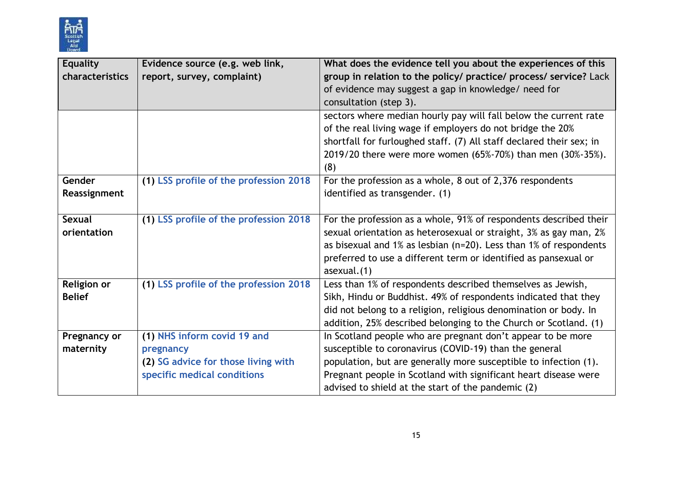

| <b>Equality</b>                     | Evidence source (e.g. web link,                                                                                | What does the evidence tell you about the experiences of this                                                                                                                                                                                                                                                      |  |
|-------------------------------------|----------------------------------------------------------------------------------------------------------------|--------------------------------------------------------------------------------------------------------------------------------------------------------------------------------------------------------------------------------------------------------------------------------------------------------------------|--|
| characteristics                     | report, survey, complaint)                                                                                     | group in relation to the policy/ practice/ process/ service? Lack<br>of evidence may suggest a gap in knowledge/ need for<br>consultation (step 3).                                                                                                                                                                |  |
|                                     |                                                                                                                | sectors where median hourly pay will fall below the current rate<br>of the real living wage if employers do not bridge the 20%<br>shortfall for furloughed staff. (7) All staff declared their sex; in<br>2019/20 there were more women (65%-70%) than men (30%-35%).<br>(8)                                       |  |
| Gender<br>Reassignment              | (1) LSS profile of the profession 2018                                                                         | For the profession as a whole, 8 out of 2,376 respondents<br>identified as transgender. (1)                                                                                                                                                                                                                        |  |
| <b>Sexual</b><br>orientation        | (1) LSS profile of the profession 2018                                                                         | For the profession as a whole, 91% of respondents described their<br>sexual orientation as heterosexual or straight, 3% as gay man, 2%<br>as bisexual and 1% as lesbian ( $n=20$ ). Less than 1% of respondents<br>preferred to use a different term or identified as pansexual or<br>$a$ sexual. $(1)$            |  |
| <b>Religion or</b><br><b>Belief</b> | (1) LSS profile of the profession 2018                                                                         | Less than 1% of respondents described themselves as Jewish,<br>Sikh, Hindu or Buddhist. 49% of respondents indicated that they<br>did not belong to a religion, religious denomination or body. In<br>addition, 25% described belonging to the Church or Scotland. (1)                                             |  |
| Pregnancy or<br>maternity           | (1) NHS inform covid 19 and<br>pregnancy<br>(2) SG advice for those living with<br>specific medical conditions | In Scotland people who are pregnant don't appear to be more<br>susceptible to coronavirus (COVID-19) than the general<br>population, but are generally more susceptible to infection (1).<br>Pregnant people in Scotland with significant heart disease were<br>advised to shield at the start of the pandemic (2) |  |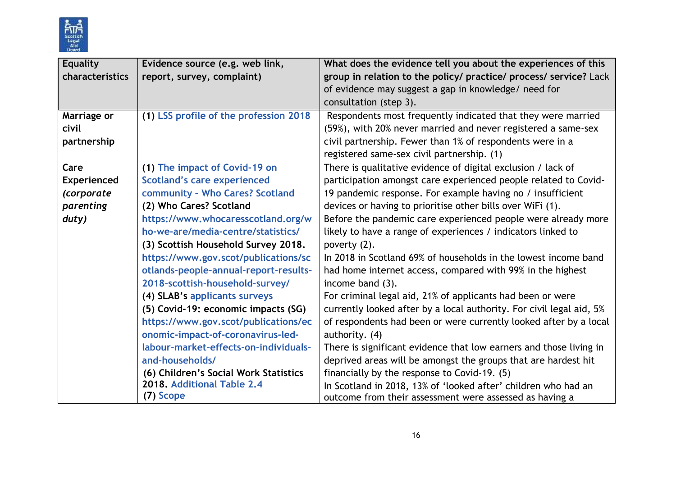

| <b>Equality</b>    | Evidence source (e.g. web link,        | What does the evidence tell you about the experiences of this        |
|--------------------|----------------------------------------|----------------------------------------------------------------------|
| characteristics    | report, survey, complaint)             | group in relation to the policy/ practice/ process/ service? Lack    |
|                    |                                        | of evidence may suggest a gap in knowledge/ need for                 |
|                    |                                        | consultation (step 3).                                               |
| Marriage or        | (1) LSS profile of the profession 2018 | Respondents most frequently indicated that they were married         |
| civil              |                                        | (59%), with 20% never married and never registered a same-sex        |
| partnership        |                                        | civil partnership. Fewer than 1% of respondents were in a            |
|                    |                                        | registered same-sex civil partnership. (1)                           |
| Care               | (1) The impact of Covid-19 on          | There is qualitative evidence of digital exclusion / lack of         |
| <b>Experienced</b> | <b>Scotland's care experienced</b>     | participation amongst care experienced people related to Covid-      |
| (corporate         | community - Who Cares? Scotland        | 19 pandemic response. For example having no / insufficient           |
| parenting          | (2) Who Cares? Scotland                | devices or having to prioritise other bills over WiFi (1).           |
| duty)              | https://www.whocaresscotland.org/w     | Before the pandemic care experienced people were already more        |
|                    | ho-we-are/media-centre/statistics/     | likely to have a range of experiences / indicators linked to         |
|                    | (3) Scottish Household Survey 2018.    | poverty (2).                                                         |
|                    | https://www.gov.scot/publications/sc   | In 2018 in Scotland 69% of households in the lowest income band      |
|                    | otlands-people-annual-report-results-  | had home internet access, compared with 99% in the highest           |
|                    | 2018-scottish-household-survey/        | income band (3).                                                     |
|                    | (4) SLAB's applicants surveys          | For criminal legal aid, 21% of applicants had been or were           |
|                    | (5) Covid-19: economic impacts (SG)    | currently looked after by a local authority. For civil legal aid, 5% |
|                    | https://www.gov.scot/publications/ec   | of respondents had been or were currently looked after by a local    |
|                    | onomic-impact-of-coronavirus-led-      | authority. (4)                                                       |
|                    | labour-market-effects-on-individuals-  | There is significant evidence that low earners and those living in   |
|                    | and-households/                        | deprived areas will be amongst the groups that are hardest hit       |
|                    | (6) Children's Social Work Statistics  | financially by the response to Covid-19. (5)                         |
|                    | 2018. Additional Table 2.4             | In Scotland in 2018, 13% of 'looked after' children who had an       |
|                    | (7) Scope                              | outcome from their assessment were assessed as having a              |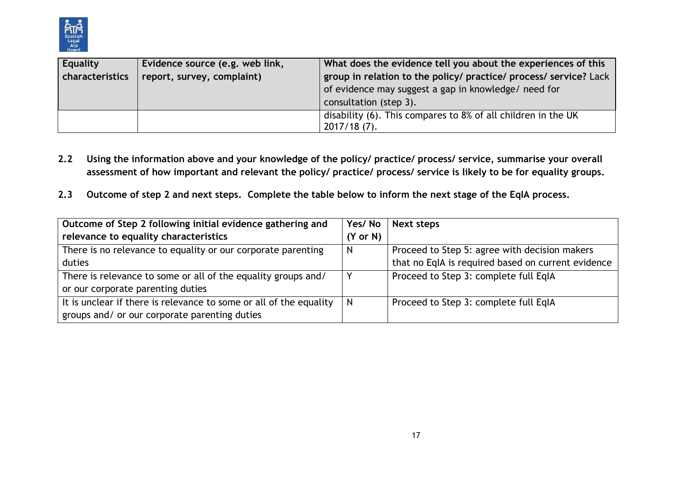

| Equality        | Evidence source (e.g. web link, | What does the evidence tell you about the experiences of this     |  |  |
|-----------------|---------------------------------|-------------------------------------------------------------------|--|--|
| characteristics | report, survey, complaint)      | group in relation to the policy/ practice/ process/ service? Lack |  |  |
|                 |                                 | of evidence may suggest a gap in knowledge/ need for              |  |  |
|                 |                                 | consultation (step 3).                                            |  |  |
|                 |                                 | disability (6). This compares to 8% of all children in the UK     |  |  |
|                 |                                 | $2017/18(7)$ .                                                    |  |  |

- **2.2 Using the information above and your knowledge of the policy/ practice/ process/ service, summarise your overall assessment of how important and relevant the policy/ practice/ process/ service is likely to be for equality groups.**
- **2.3 Outcome of step 2 and next steps. Complete the table below to inform the next stage of the EqIA process.**

| Outcome of Step 2 following initial evidence gathering and         | Yes/No       | Next steps                                         |
|--------------------------------------------------------------------|--------------|----------------------------------------------------|
| relevance to equality characteristics                              | (Y or N)     |                                                    |
| There is no relevance to equality or our corporate parenting       | <sub>N</sub> | Proceed to Step 5: agree with decision makers      |
| duties                                                             |              | that no EqIA is required based on current evidence |
| There is relevance to some or all of the equality groups and/      |              | Proceed to Step 3: complete full EqIA              |
| or our corporate parenting duties                                  |              |                                                    |
| It is unclear if there is relevance to some or all of the equality | N            | Proceed to Step 3: complete full EqIA              |
| groups and/ or our corporate parenting duties                      |              |                                                    |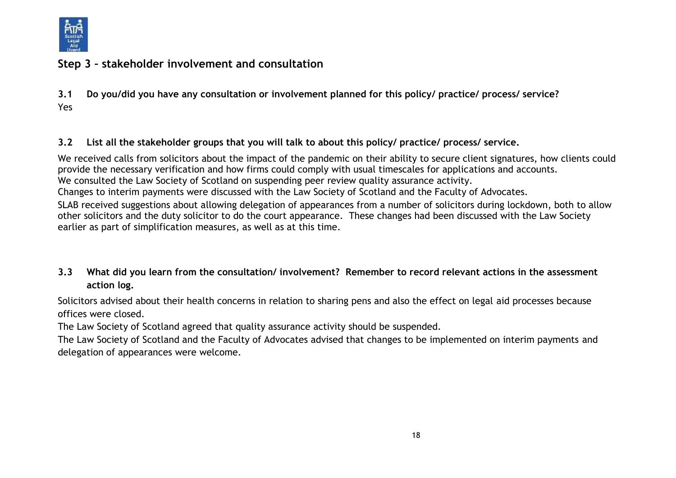

# **Step 3 – stakeholder involvement and consultation**

**3.1 Do you/did you have any consultation or involvement planned for this policy/ practice/ process/ service?**  Yes

## **3.2 List all the stakeholder groups that you will talk to about this policy/ practice/ process/ service.**

We received calls from solicitors about the impact of the pandemic on their ability to secure client signatures, how clients could provide the necessary verification and how firms could comply with usual timescales for applications and accounts. We consulted the Law Society of Scotland on suspending peer review quality assurance activity. Changes to interim payments were discussed with the Law Society of Scotland and the Faculty of Advocates.

SLAB received suggestions about allowing delegation of appearances from a number of solicitors during lockdown, both to allow other solicitors and the duty solicitor to do the court appearance. These changes had been discussed with the Law Society earlier as part of simplification measures, as well as at this time.

# **3.3 What did you learn from the consultation/ involvement? Remember to record relevant actions in the assessment action log.**

Solicitors advised about their health concerns in relation to sharing pens and also the effect on legal aid processes because offices were closed.

The Law Society of Scotland agreed that quality assurance activity should be suspended.

The Law Society of Scotland and the Faculty of Advocates advised that changes to be implemented on interim payments and delegation of appearances were welcome.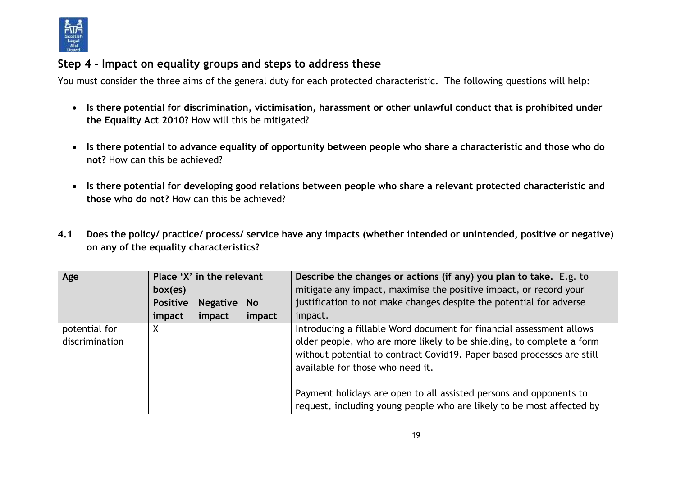

# **Step 4 - Impact on equality groups and steps to address these**

You must consider the three aims of the general duty for each protected characteristic. The following questions will help:

- **Is there potential for discrimination, victimisation, harassment or other unlawful conduct that is prohibited under the Equality Act 2010?** How will this be mitigated?
- **Is there potential to advance equality of opportunity between people who share a characteristic and those who do not?** How can this be achieved?
- **Is there potential for developing good relations between people who share a relevant protected characteristic and those who do not?** How can this be achieved?
- **4.1 Does the policy/ practice/ process/ service have any impacts (whether intended or unintended, positive or negative) on any of the equality characteristics?**

| Age                             | Place 'X' in the relevant |                 |           | Describe the changes or actions (if any) you plan to take. E.g. to                                                                                                                                                                                                                                                                                                                                         |
|---------------------------------|---------------------------|-----------------|-----------|------------------------------------------------------------------------------------------------------------------------------------------------------------------------------------------------------------------------------------------------------------------------------------------------------------------------------------------------------------------------------------------------------------|
|                                 | box(es)                   |                 |           | mitigate any impact, maximise the positive impact, or record your                                                                                                                                                                                                                                                                                                                                          |
|                                 | <b>Positive</b>           | <b>Negative</b> | <b>No</b> | justification to not make changes despite the potential for adverse                                                                                                                                                                                                                                                                                                                                        |
|                                 | impact                    | impact          | impact    | impact.                                                                                                                                                                                                                                                                                                                                                                                                    |
| potential for<br>discrimination | X                         |                 |           | Introducing a fillable Word document for financial assessment allows<br>older people, who are more likely to be shielding, to complete a form<br>without potential to contract Covid19. Paper based processes are still<br>available for those who need it.<br>Payment holidays are open to all assisted persons and opponents to<br>request, including young people who are likely to be most affected by |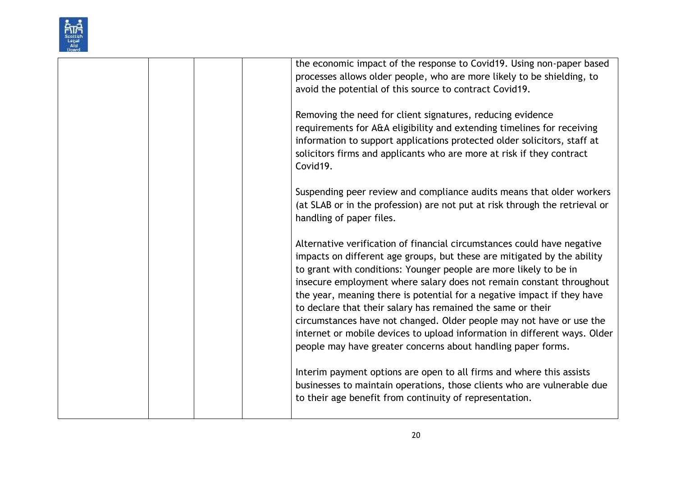

|  | the economic impact of the response to Covid19. Using non-paper based       |
|--|-----------------------------------------------------------------------------|
|  | processes allows older people, who are more likely to be shielding, to      |
|  | avoid the potential of this source to contract Covid19.                     |
|  |                                                                             |
|  | Removing the need for client signatures, reducing evidence                  |
|  | requirements for A&A eligibility and extending timelines for receiving      |
|  |                                                                             |
|  | information to support applications protected older solicitors, staff at    |
|  | solicitors firms and applicants who are more at risk if they contract       |
|  | Covid19.                                                                    |
|  |                                                                             |
|  | Suspending peer review and compliance audits means that older workers       |
|  | (at SLAB or in the profession) are not put at risk through the retrieval or |
|  | handling of paper files.                                                    |
|  |                                                                             |
|  | Alternative verification of financial circumstances could have negative     |
|  | impacts on different age groups, but these are mitigated by the ability     |
|  | to grant with conditions: Younger people are more likely to be in           |
|  | insecure employment where salary does not remain constant throughout        |
|  | the year, meaning there is potential for a negative impact if they have     |
|  | to declare that their salary has remained the same or their                 |
|  | circumstances have not changed. Older people may not have or use the        |
|  | internet or mobile devices to upload information in different ways. Older   |
|  | people may have greater concerns about handling paper forms.                |
|  |                                                                             |
|  | Interim payment options are open to all firms and where this assists        |
|  | businesses to maintain operations, those clients who are vulnerable due     |
|  | to their age benefit from continuity of representation.                     |
|  |                                                                             |
|  |                                                                             |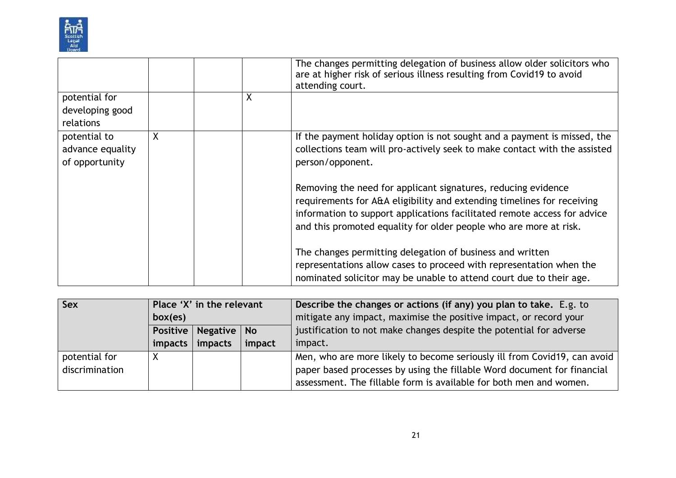

|                                                    |   |   | The changes permitting delegation of business allow older solicitors who<br>are at higher risk of serious illness resulting from Covid19 to avoid<br>attending court.                                                                                                                    |
|----------------------------------------------------|---|---|------------------------------------------------------------------------------------------------------------------------------------------------------------------------------------------------------------------------------------------------------------------------------------------|
| potential for<br>developing good                   |   | X |                                                                                                                                                                                                                                                                                          |
| relations                                          |   |   |                                                                                                                                                                                                                                                                                          |
| potential to<br>advance equality<br>of opportunity | X |   | If the payment holiday option is not sought and a payment is missed, the<br>collections team will pro-actively seek to make contact with the assisted<br>person/opponent.                                                                                                                |
|                                                    |   |   | Removing the need for applicant signatures, reducing evidence<br>requirements for A&A eligibility and extending timelines for receiving<br>information to support applications facilitated remote access for advice<br>and this promoted equality for older people who are more at risk. |
|                                                    |   |   | The changes permitting delegation of business and written<br>representations allow cases to proceed with representation when the<br>nominated solicitor may be unable to attend court due to their age.                                                                                  |

| <b>Sex</b>     | Place 'X' in the relevant |                          |        | Describe the changes or actions (if any) you plan to take. E.g. to       |
|----------------|---------------------------|--------------------------|--------|--------------------------------------------------------------------------|
|                | box(es)                   |                          |        | mitigate any impact, maximise the positive impact, or record your        |
|                |                           | Positive   Negative   No |        | justification to not make changes despite the potential for adverse      |
|                |                           | impacts   impacts        | impact | impact.                                                                  |
| potential for  | Χ                         |                          |        | Men, who are more likely to become seriously ill from Covid19, can avoid |
| discrimination |                           |                          |        | paper based processes by using the fillable Word document for financial  |
|                |                           |                          |        | assessment. The fillable form is available for both men and women.       |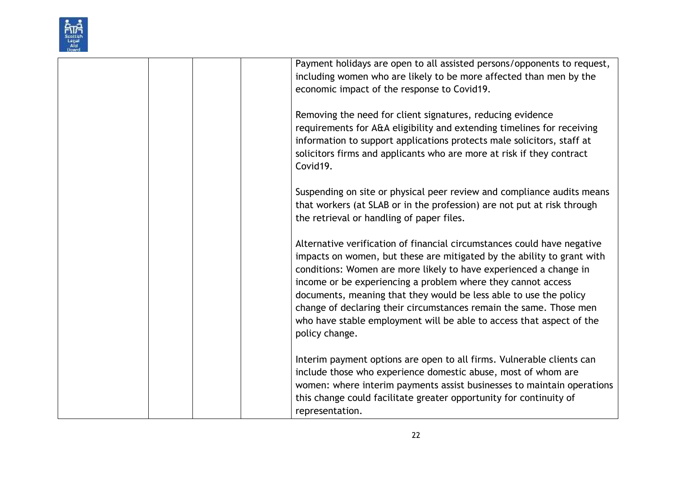

| Payment holidays are open to all assisted persons/opponents to request,<br>including women who are likely to be more affected than men by the<br>economic impact of the response to Covid19.                                                                                                                                                                                                                                                                                                                                |
|-----------------------------------------------------------------------------------------------------------------------------------------------------------------------------------------------------------------------------------------------------------------------------------------------------------------------------------------------------------------------------------------------------------------------------------------------------------------------------------------------------------------------------|
| Removing the need for client signatures, reducing evidence<br>requirements for A&A eligibility and extending timelines for receiving<br>information to support applications protects male solicitors, staff at<br>solicitors firms and applicants who are more at risk if they contract<br>Covid19.                                                                                                                                                                                                                         |
| Suspending on site or physical peer review and compliance audits means<br>that workers (at SLAB or in the profession) are not put at risk through<br>the retrieval or handling of paper files.                                                                                                                                                                                                                                                                                                                              |
| Alternative verification of financial circumstances could have negative<br>impacts on women, but these are mitigated by the ability to grant with<br>conditions: Women are more likely to have experienced a change in<br>income or be experiencing a problem where they cannot access<br>documents, meaning that they would be less able to use the policy<br>change of declaring their circumstances remain the same. Those men<br>who have stable employment will be able to access that aspect of the<br>policy change. |
| Interim payment options are open to all firms. Vulnerable clients can<br>include those who experience domestic abuse, most of whom are<br>women: where interim payments assist businesses to maintain operations<br>this change could facilitate greater opportunity for continuity of<br>representation.                                                                                                                                                                                                                   |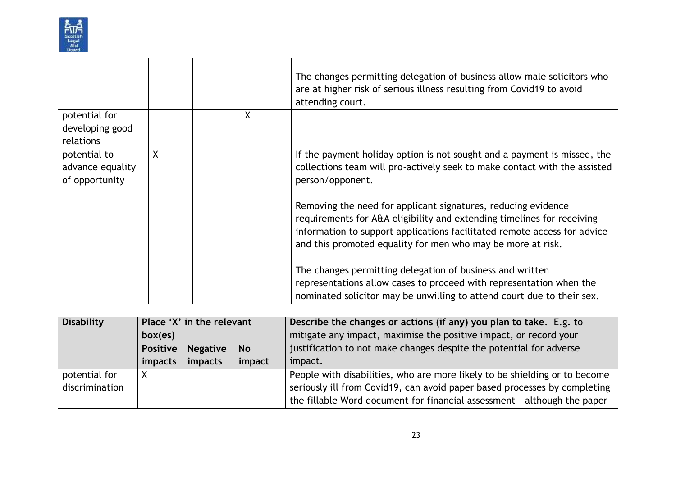

|                                                    |   |   | The changes permitting delegation of business allow male solicitors who<br>are at higher risk of serious illness resulting from Covid19 to avoid<br>attending court.                                       |
|----------------------------------------------------|---|---|------------------------------------------------------------------------------------------------------------------------------------------------------------------------------------------------------------|
| potential for<br>developing good                   |   | X |                                                                                                                                                                                                            |
| relations                                          |   |   |                                                                                                                                                                                                            |
| potential to<br>advance equality<br>of opportunity | X |   | If the payment holiday option is not sought and a payment is missed, the<br>collections team will pro-actively seek to make contact with the assisted<br>person/opponent.                                  |
|                                                    |   |   | Removing the need for applicant signatures, reducing evidence<br>requirements for A&A eligibility and extending timelines for receiving                                                                    |
|                                                    |   |   | information to support applications facilitated remote access for advice<br>and this promoted equality for men who may be more at risk.                                                                    |
|                                                    |   |   | The changes permitting delegation of business and written<br>representations allow cases to proceed with representation when the<br>nominated solicitor may be unwilling to attend court due to their sex. |

| <b>Disability</b> | Place 'X' in the relevant |                 |           | Describe the changes or actions (if any) you plan to take. E.g. to         |
|-------------------|---------------------------|-----------------|-----------|----------------------------------------------------------------------------|
|                   | box(es)                   |                 |           | mitigate any impact, maximise the positive impact, or record your          |
|                   | <b>Positive</b>           | <b>Negative</b> | <b>No</b> | justification to not make changes despite the potential for adverse        |
|                   | impacts                   | impacts         | impact    | impact.                                                                    |
| potential for     |                           |                 |           | People with disabilities, who are more likely to be shielding or to become |
| discrimination    |                           |                 |           | seriously ill from Covid19, can avoid paper based processes by completing  |
|                   |                           |                 |           | the fillable Word document for financial assessment - although the paper   |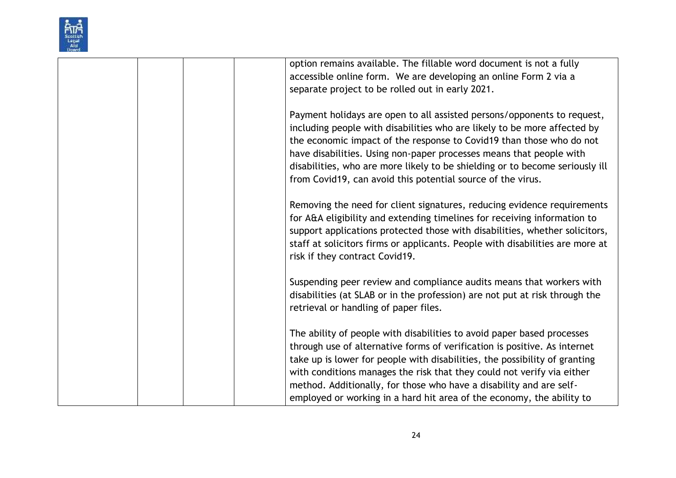

|  |  | option remains available. The fillable word document is not a fully                                                                                     |
|--|--|---------------------------------------------------------------------------------------------------------------------------------------------------------|
|  |  | accessible online form. We are developing an online Form 2 via a                                                                                        |
|  |  | separate project to be rolled out in early 2021.                                                                                                        |
|  |  | Payment holidays are open to all assisted persons/opponents to request,                                                                                 |
|  |  | including people with disabilities who are likely to be more affected by                                                                                |
|  |  | the economic impact of the response to Covid19 than those who do not                                                                                    |
|  |  | have disabilities. Using non-paper processes means that people with                                                                                     |
|  |  | disabilities, who are more likely to be shielding or to become seriously ill                                                                            |
|  |  | from Covid19, can avoid this potential source of the virus.                                                                                             |
|  |  |                                                                                                                                                         |
|  |  | Removing the need for client signatures, reducing evidence requirements                                                                                 |
|  |  | for A&A eligibility and extending timelines for receiving information to                                                                                |
|  |  | support applications protected those with disabilities, whether solicitors,                                                                             |
|  |  | staff at solicitors firms or applicants. People with disabilities are more at                                                                           |
|  |  | risk if they contract Covid19.                                                                                                                          |
|  |  |                                                                                                                                                         |
|  |  | Suspending peer review and compliance audits means that workers with                                                                                    |
|  |  | disabilities (at SLAB or in the profession) are not put at risk through the                                                                             |
|  |  | retrieval or handling of paper files.                                                                                                                   |
|  |  |                                                                                                                                                         |
|  |  | The ability of people with disabilities to avoid paper based processes                                                                                  |
|  |  | through use of alternative forms of verification is positive. As internet<br>take up is lower for people with disabilities, the possibility of granting |
|  |  | with conditions manages the risk that they could not verify via either                                                                                  |
|  |  | method. Additionally, for those who have a disability and are self-                                                                                     |
|  |  | employed or working in a hard hit area of the economy, the ability to                                                                                   |
|  |  |                                                                                                                                                         |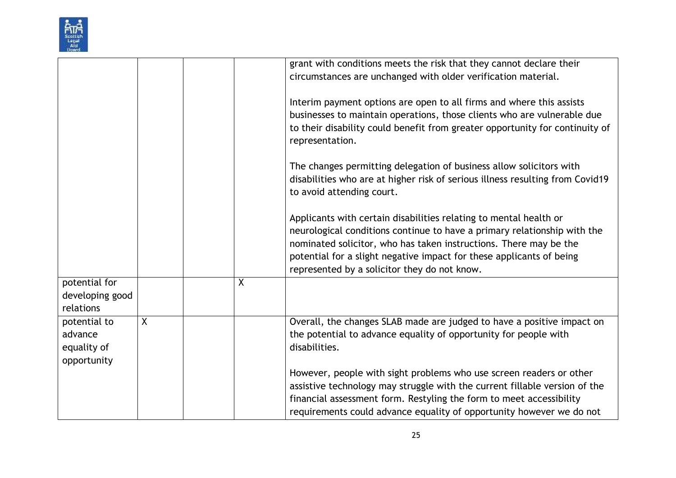| Scottish |
|----------|
| Ald      |
|          |

|                 |   |   | grant with conditions meets the risk that they cannot declare their           |
|-----------------|---|---|-------------------------------------------------------------------------------|
|                 |   |   | circumstances are unchanged with older verification material.                 |
|                 |   |   |                                                                               |
|                 |   |   | Interim payment options are open to all firms and where this assists          |
|                 |   |   | businesses to maintain operations, those clients who are vulnerable due       |
|                 |   |   | to their disability could benefit from greater opportunity for continuity of  |
|                 |   |   | representation.                                                               |
|                 |   |   | The changes permitting delegation of business allow solicitors with           |
|                 |   |   | disabilities who are at higher risk of serious illness resulting from Covid19 |
|                 |   |   | to avoid attending court.                                                     |
|                 |   |   |                                                                               |
|                 |   |   | Applicants with certain disabilities relating to mental health or             |
|                 |   |   | neurological conditions continue to have a primary relationship with the      |
|                 |   |   | nominated solicitor, who has taken instructions. There may be the             |
|                 |   |   | potential for a slight negative impact for these applicants of being          |
|                 |   |   | represented by a solicitor they do not know.                                  |
| potential for   |   | X |                                                                               |
| developing good |   |   |                                                                               |
| relations       |   |   |                                                                               |
| potential to    | X |   | Overall, the changes SLAB made are judged to have a positive impact on        |
| advance         |   |   | the potential to advance equality of opportunity for people with              |
| equality of     |   |   | disabilities.                                                                 |
| opportunity     |   |   |                                                                               |
|                 |   |   | However, people with sight problems who use screen readers or other           |
|                 |   |   | assistive technology may struggle with the current fillable version of the    |
|                 |   |   | financial assessment form. Restyling the form to meet accessibility           |
|                 |   |   | requirements could advance equality of opportunity however we do not          |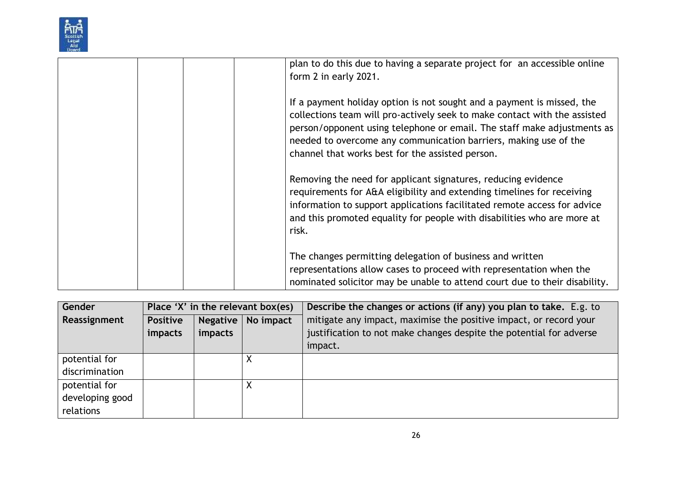| <b>Scottish</b> |
|-----------------|
|                 |
| Ald             |
| ж               |

|  | plan to do this due to having a separate project for an accessible online<br>form 2 in early 2021.                                                                                                                                                                                                                                                     |
|--|--------------------------------------------------------------------------------------------------------------------------------------------------------------------------------------------------------------------------------------------------------------------------------------------------------------------------------------------------------|
|  | If a payment holiday option is not sought and a payment is missed, the<br>collections team will pro-actively seek to make contact with the assisted<br>person/opponent using telephone or email. The staff make adjustments as<br>needed to overcome any communication barriers, making use of the<br>channel that works best for the assisted person. |
|  | Removing the need for applicant signatures, reducing evidence<br>requirements for A&A eligibility and extending timelines for receiving<br>information to support applications facilitated remote access for advice<br>and this promoted equality for people with disabilities who are more at<br>risk.                                                |
|  | The changes permitting delegation of business and written<br>representations allow cases to proceed with representation when the<br>nominated solicitor may be unable to attend court due to their disability.                                                                                                                                         |

| Gender          | Place 'X' in the relevant box(es) |                 |           | Describe the changes or actions (if any) you plan to take. E.g. to  |
|-----------------|-----------------------------------|-----------------|-----------|---------------------------------------------------------------------|
| Reassignment    | <b>Positive</b>                   | <b>Negative</b> | No impact | mitigate any impact, maximise the positive impact, or record your   |
|                 | impacts                           | impacts         |           | justification to not make changes despite the potential for adverse |
|                 |                                   |                 |           | impact.                                                             |
| potential for   |                                   |                 |           |                                                                     |
| discrimination  |                                   |                 |           |                                                                     |
| potential for   |                                   |                 |           |                                                                     |
| developing good |                                   |                 |           |                                                                     |
| relations       |                                   |                 |           |                                                                     |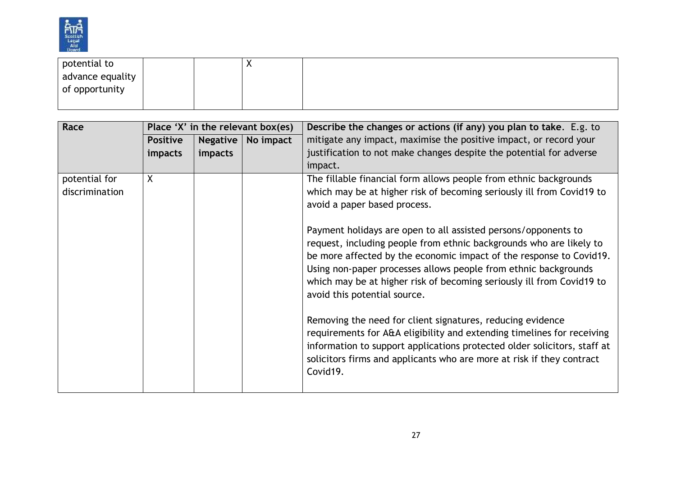

| potential to     |  | $\mathbf{v}$<br>$\Lambda$ |  |
|------------------|--|---------------------------|--|
| advance equality |  |                           |  |
| of opportunity   |  |                           |  |
|                  |  |                           |  |

| Race           |                 |                 | Place 'X' in the relevant box(es) | Describe the changes or actions (if any) you plan to take. E.g. to                                                                                                                                                                                                                                                                                                                       |
|----------------|-----------------|-----------------|-----------------------------------|------------------------------------------------------------------------------------------------------------------------------------------------------------------------------------------------------------------------------------------------------------------------------------------------------------------------------------------------------------------------------------------|
|                | <b>Positive</b> | <b>Negative</b> | No impact                         | mitigate any impact, maximise the positive impact, or record your                                                                                                                                                                                                                                                                                                                        |
|                | impacts         | impacts         |                                   | justification to not make changes despite the potential for adverse                                                                                                                                                                                                                                                                                                                      |
|                |                 |                 |                                   | impact.                                                                                                                                                                                                                                                                                                                                                                                  |
| potential for  | X               |                 |                                   | The fillable financial form allows people from ethnic backgrounds                                                                                                                                                                                                                                                                                                                        |
| discrimination |                 |                 |                                   | which may be at higher risk of becoming seriously ill from Covid19 to                                                                                                                                                                                                                                                                                                                    |
|                |                 |                 |                                   | avoid a paper based process.                                                                                                                                                                                                                                                                                                                                                             |
|                |                 |                 |                                   | Payment holidays are open to all assisted persons/opponents to<br>request, including people from ethnic backgrounds who are likely to<br>be more affected by the economic impact of the response to Covid19.<br>Using non-paper processes allows people from ethnic backgrounds<br>which may be at higher risk of becoming seriously ill from Covid19 to<br>avoid this potential source. |
|                |                 |                 |                                   | Removing the need for client signatures, reducing evidence<br>requirements for A&A eligibility and extending timelines for receiving<br>information to support applications protected older solicitors, staff at<br>solicitors firms and applicants who are more at risk if they contract<br>Covid19.                                                                                    |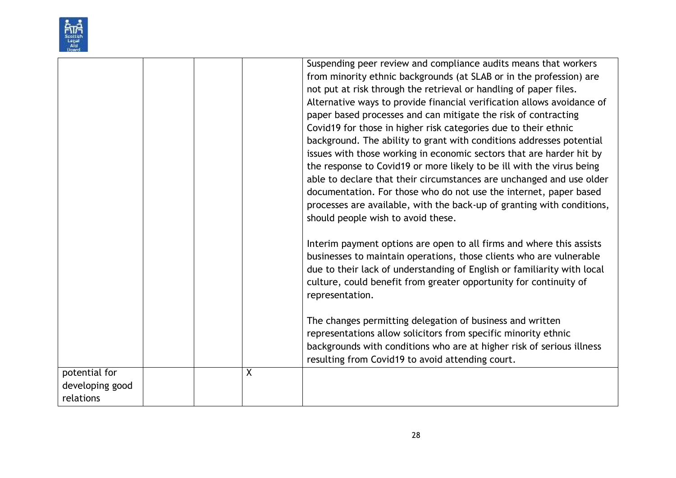

|                 |         | Suspending peer review and compliance audits means that workers         |
|-----------------|---------|-------------------------------------------------------------------------|
|                 |         | from minority ethnic backgrounds (at SLAB or in the profession) are     |
|                 |         | not put at risk through the retrieval or handling of paper files.       |
|                 |         | Alternative ways to provide financial verification allows avoidance of  |
|                 |         | paper based processes and can mitigate the risk of contracting          |
|                 |         | Covid19 for those in higher risk categories due to their ethnic         |
|                 |         | background. The ability to grant with conditions addresses potential    |
|                 |         | issues with those working in economic sectors that are harder hit by    |
|                 |         | the response to Covid19 or more likely to be ill with the virus being   |
|                 |         | able to declare that their circumstances are unchanged and use older    |
|                 |         | documentation. For those who do not use the internet, paper based       |
|                 |         | processes are available, with the back-up of granting with conditions,  |
|                 |         | should people wish to avoid these.                                      |
|                 |         |                                                                         |
|                 |         | Interim payment options are open to all firms and where this assists    |
|                 |         | businesses to maintain operations, those clients who are vulnerable     |
|                 |         | due to their lack of understanding of English or familiarity with local |
|                 |         | culture, could benefit from greater opportunity for continuity of       |
|                 |         | representation.                                                         |
|                 |         |                                                                         |
|                 |         | The changes permitting delegation of business and written               |
|                 |         | representations allow solicitors from specific minority ethnic          |
|                 |         | backgrounds with conditions who are at higher risk of serious illness   |
|                 |         | resulting from Covid19 to avoid attending court.                        |
| potential for   | $\sf X$ |                                                                         |
| developing good |         |                                                                         |
| relations       |         |                                                                         |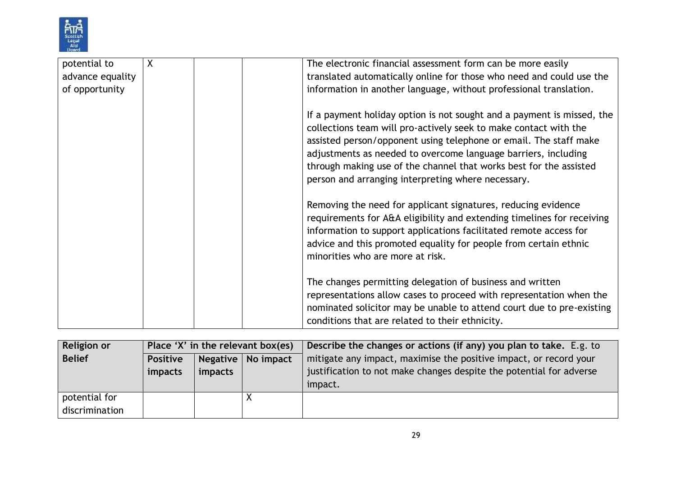

| potential to     | X | The electronic financial assessment form can be more easily                                                                                                                                                                                                                                                                                                                                                   |
|------------------|---|---------------------------------------------------------------------------------------------------------------------------------------------------------------------------------------------------------------------------------------------------------------------------------------------------------------------------------------------------------------------------------------------------------------|
| advance equality |   | translated automatically online for those who need and could use the                                                                                                                                                                                                                                                                                                                                          |
| of opportunity   |   | information in another language, without professional translation.                                                                                                                                                                                                                                                                                                                                            |
|                  |   | If a payment holiday option is not sought and a payment is missed, the<br>collections team will pro-actively seek to make contact with the<br>assisted person/opponent using telephone or email. The staff make<br>adjustments as needed to overcome language barriers, including<br>through making use of the channel that works best for the assisted<br>person and arranging interpreting where necessary. |
|                  |   | Removing the need for applicant signatures, reducing evidence<br>requirements for A&A eligibility and extending timelines for receiving<br>information to support applications facilitated remote access for<br>advice and this promoted equality for people from certain ethnic<br>minorities who are more at risk.                                                                                          |
|                  |   | The changes permitting delegation of business and written<br>representations allow cases to proceed with representation when the<br>nominated solicitor may be unable to attend court due to pre-existing<br>conditions that are related to their ethnicity.                                                                                                                                                  |

| Religion or    | Place 'X' in the relevant box(es) |         |                      | Describe the changes or actions (if any) you plan to take. E.g. to  |
|----------------|-----------------------------------|---------|----------------------|---------------------------------------------------------------------|
| <b>Belief</b>  | <b>Positive</b>                   |         | Negative   No impact | mitigate any impact, maximise the positive impact, or record your   |
|                | impacts                           | impacts |                      | justification to not make changes despite the potential for adverse |
|                |                                   |         |                      | impact.                                                             |
| potential for  |                                   |         |                      |                                                                     |
| discrimination |                                   |         |                      |                                                                     |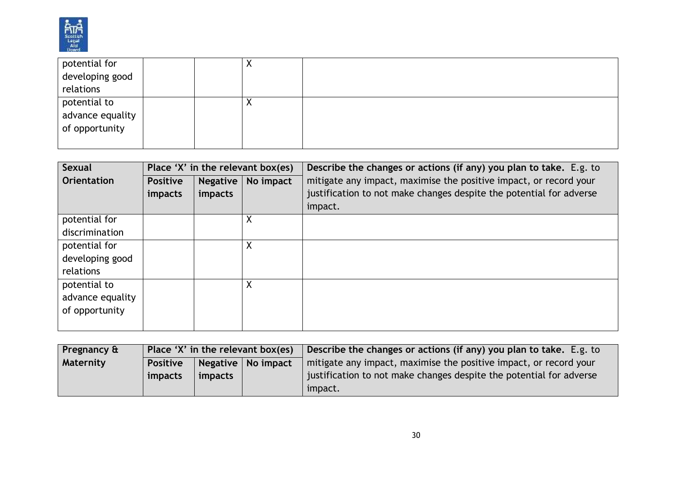

| potential for    |  | $\lambda$ |  |
|------------------|--|-----------|--|
| developing good  |  |           |  |
| relations        |  |           |  |
| potential to     |  | $\lambda$ |  |
| advance equality |  |           |  |
| of opportunity   |  |           |  |
|                  |  |           |  |

| Sexual             |                 | Place 'X' in the relevant box(es) |           | Describe the changes or actions (if any) you plan to take. E.g. to  |
|--------------------|-----------------|-----------------------------------|-----------|---------------------------------------------------------------------|
| <b>Orientation</b> | <b>Positive</b> | <b>Negative</b>                   | No impact | mitigate any impact, maximise the positive impact, or record your   |
|                    | impacts         | impacts                           |           | justification to not make changes despite the potential for adverse |
|                    |                 |                                   |           | impact.                                                             |
| potential for      |                 |                                   | X         |                                                                     |
| discrimination     |                 |                                   |           |                                                                     |
| potential for      |                 |                                   | Χ         |                                                                     |
| developing good    |                 |                                   |           |                                                                     |
| relations          |                 |                                   |           |                                                                     |
| potential to       |                 |                                   | X         |                                                                     |
| advance equality   |                 |                                   |           |                                                                     |
| of opportunity     |                 |                                   |           |                                                                     |
|                    |                 |                                   |           |                                                                     |

| Pregnancy &      | Place 'X' in the relevant box(es)       |                |  | Describe the changes or actions (if any) you plan to take. E.g. to  |
|------------------|-----------------------------------------|----------------|--|---------------------------------------------------------------------|
| <b>Maternity</b> | Negative   No impact<br><b>Positive</b> |                |  | mitigate any impact, maximise the positive impact, or record your   |
|                  | impacts                                 | <i>impacts</i> |  | justification to not make changes despite the potential for adverse |
|                  |                                         |                |  | impact.                                                             |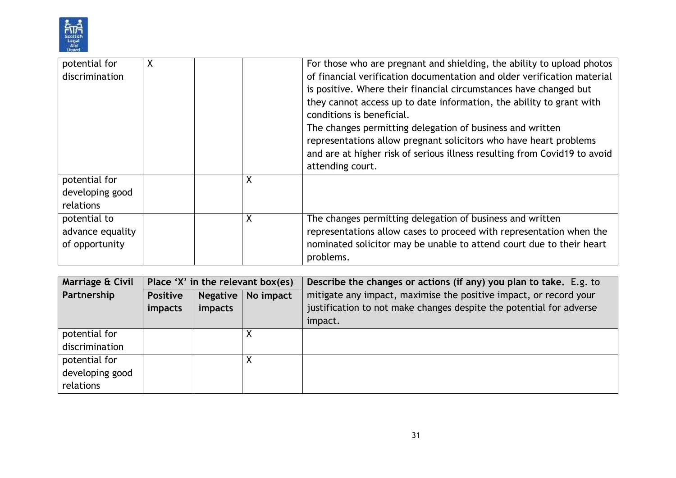

| potential for    | X |   | For those who are pregnant and shielding, the ability to upload photos                            |
|------------------|---|---|---------------------------------------------------------------------------------------------------|
| discrimination   |   |   | of financial verification documentation and older verification material                           |
|                  |   |   | is positive. Where their financial circumstances have changed but                                 |
|                  |   |   | they cannot access up to date information, the ability to grant with<br>conditions is beneficial. |
|                  |   |   | The changes permitting delegation of business and written                                         |
|                  |   |   | representations allow pregnant solicitors who have heart problems                                 |
|                  |   |   | and are at higher risk of serious illness resulting from Covid19 to avoid                         |
|                  |   |   | attending court.                                                                                  |
| potential for    |   | Χ |                                                                                                   |
| developing good  |   |   |                                                                                                   |
| relations        |   |   |                                                                                                   |
| potential to     |   | Χ | The changes permitting delegation of business and written                                         |
| advance equality |   |   | representations allow cases to proceed with representation when the                               |
| of opportunity   |   |   | nominated solicitor may be unable to attend court due to their heart                              |
|                  |   |   | problems.                                                                                         |

| Marriage & Civil | Place 'X' in the relevant box(es) |                 |           | Describe the changes or actions (if any) you plan to take. E.g. to  |
|------------------|-----------------------------------|-----------------|-----------|---------------------------------------------------------------------|
| Partnership      | <b>Positive</b>                   | <b>Negative</b> | No impact | mitigate any impact, maximise the positive impact, or record your   |
|                  | impacts                           | impacts         |           | justification to not make changes despite the potential for adverse |
|                  |                                   |                 |           | impact.                                                             |
| potential for    |                                   |                 |           |                                                                     |
| discrimination   |                                   |                 |           |                                                                     |
| potential for    |                                   |                 | Χ         |                                                                     |
| developing good  |                                   |                 |           |                                                                     |
| relations        |                                   |                 |           |                                                                     |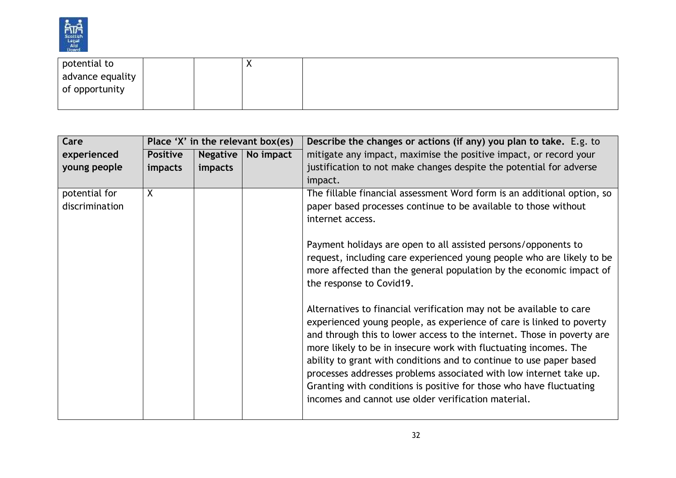

| potential to     |  | $\cdots$ |  |
|------------------|--|----------|--|
| advance equality |  |          |  |
| of opportunity   |  |          |  |
|                  |  |          |  |

| Care           | Place 'X' in the relevant box(es) |                 |           | Describe the changes or actions (if any) you plan to take. E.g. to      |  |
|----------------|-----------------------------------|-----------------|-----------|-------------------------------------------------------------------------|--|
| experienced    | <b>Positive</b>                   | <b>Negative</b> | No impact | mitigate any impact, maximise the positive impact, or record your       |  |
| young people   | impacts                           | impacts         |           | justification to not make changes despite the potential for adverse     |  |
|                |                                   |                 |           | impact.                                                                 |  |
| potential for  | X                                 |                 |           | The fillable financial assessment Word form is an additional option, so |  |
| discrimination |                                   |                 |           | paper based processes continue to be available to those without         |  |
|                |                                   |                 |           | internet access.                                                        |  |
|                |                                   |                 |           |                                                                         |  |
|                |                                   |                 |           | Payment holidays are open to all assisted persons/opponents to          |  |
|                |                                   |                 |           | request, including care experienced young people who are likely to be   |  |
|                |                                   |                 |           | more affected than the general population by the economic impact of     |  |
|                |                                   |                 |           | the response to Covid19.                                                |  |
|                |                                   |                 |           |                                                                         |  |
|                |                                   |                 |           | Alternatives to financial verification may not be available to care     |  |
|                |                                   |                 |           | experienced young people, as experience of care is linked to poverty    |  |
|                |                                   |                 |           | and through this to lower access to the internet. Those in poverty are  |  |
|                |                                   |                 |           | more likely to be in insecure work with fluctuating incomes. The        |  |
|                |                                   |                 |           | ability to grant with conditions and to continue to use paper based     |  |
|                |                                   |                 |           | processes addresses problems associated with low internet take up.      |  |
|                |                                   |                 |           | Granting with conditions is positive for those who have fluctuating     |  |
|                |                                   |                 |           | incomes and cannot use older verification material.                     |  |
|                |                                   |                 |           |                                                                         |  |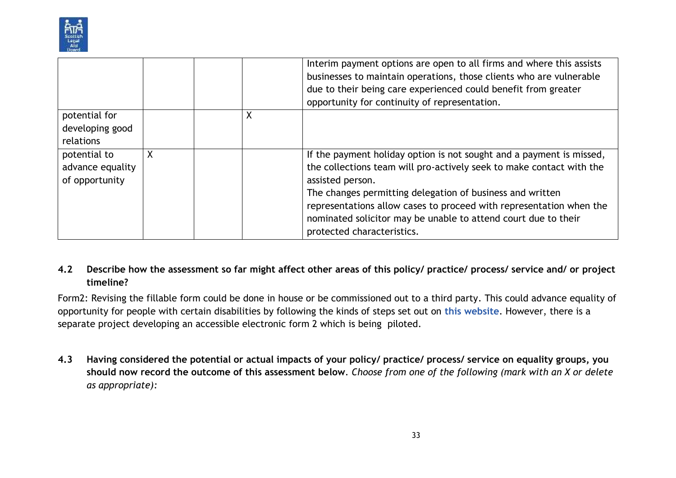

|                  |   |   | Interim payment options are open to all firms and where this assists<br>businesses to maintain operations, those clients who are vulnerable<br>due to their being care experienced could benefit from greater<br>opportunity for continuity of representation. |  |
|------------------|---|---|----------------------------------------------------------------------------------------------------------------------------------------------------------------------------------------------------------------------------------------------------------------|--|
| potential for    |   | X |                                                                                                                                                                                                                                                                |  |
| developing good  |   |   |                                                                                                                                                                                                                                                                |  |
| relations        |   |   |                                                                                                                                                                                                                                                                |  |
| potential to     | Χ |   | If the payment holiday option is not sought and a payment is missed,                                                                                                                                                                                           |  |
| advance equality |   |   | the collections team will pro-actively seek to make contact with the                                                                                                                                                                                           |  |
| of opportunity   |   |   | assisted person.                                                                                                                                                                                                                                               |  |
|                  |   |   | The changes permitting delegation of business and written                                                                                                                                                                                                      |  |
|                  |   |   | representations allow cases to proceed with representation when the                                                                                                                                                                                            |  |
|                  |   |   | nominated solicitor may be unable to attend court due to their                                                                                                                                                                                                 |  |
|                  |   |   | protected characteristics.                                                                                                                                                                                                                                     |  |

## **4.2 Describe how the assessment so far might affect other areas of this policy/ practice/ process/ service and/ or project timeline?**

Form2: Revising the fillable form could be done in house or be commissioned out to a third party. This could advance equality of opportunity for people with certain disabilities by following the kinds of steps set out on **[this website](https://answers.microsoft.com/en-us/msoffice/forum/all/making-fillable-forms-accessible-for-screen/89b4a659-64cf-446a-b5d0-737a1838a379)**. However, there is a separate project developing an accessible electronic form 2 which is being piloted.

**4.3 Having considered the potential or actual impacts of your policy/ practice/ process/ service on equality groups, you should now record the outcome of this assessment below**. *Choose from one of the following (mark with an X or delete as appropriate):*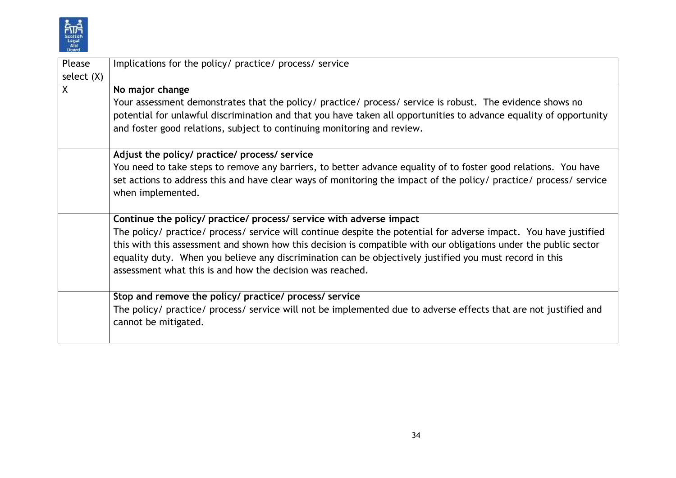

| Please       | Implications for the policy/ practice/ process/ service                                                            |  |  |  |
|--------------|--------------------------------------------------------------------------------------------------------------------|--|--|--|
| select $(X)$ |                                                                                                                    |  |  |  |
| $\sf X$      | No major change                                                                                                    |  |  |  |
|              | Your assessment demonstrates that the policy/ practice/ process/ service is robust. The evidence shows no          |  |  |  |
|              | potential for unlawful discrimination and that you have taken all opportunities to advance equality of opportunity |  |  |  |
|              | and foster good relations, subject to continuing monitoring and review.                                            |  |  |  |
|              |                                                                                                                    |  |  |  |
|              | Adjust the policy/ practice/ process/ service                                                                      |  |  |  |
|              | You need to take steps to remove any barriers, to better advance equality of to foster good relations. You have    |  |  |  |
|              | set actions to address this and have clear ways of monitoring the impact of the policy/ practice/ process/ service |  |  |  |
|              | when implemented.                                                                                                  |  |  |  |
|              |                                                                                                                    |  |  |  |
|              | Continue the policy/ practice/ process/ service with adverse impact                                                |  |  |  |
|              | The policy/ practice/ process/ service will continue despite the potential for adverse impact. You have justified  |  |  |  |
|              | this with this assessment and shown how this decision is compatible with our obligations under the public sector   |  |  |  |
|              | equality duty. When you believe any discrimination can be objectively justified you must record in this            |  |  |  |
|              | assessment what this is and how the decision was reached.                                                          |  |  |  |
|              |                                                                                                                    |  |  |  |
|              | Stop and remove the policy/ practice/ process/ service                                                             |  |  |  |
|              | The policy/ practice/ process/ service will not be implemented due to adverse effects that are not justified and   |  |  |  |
|              | cannot be mitigated.                                                                                               |  |  |  |
|              |                                                                                                                    |  |  |  |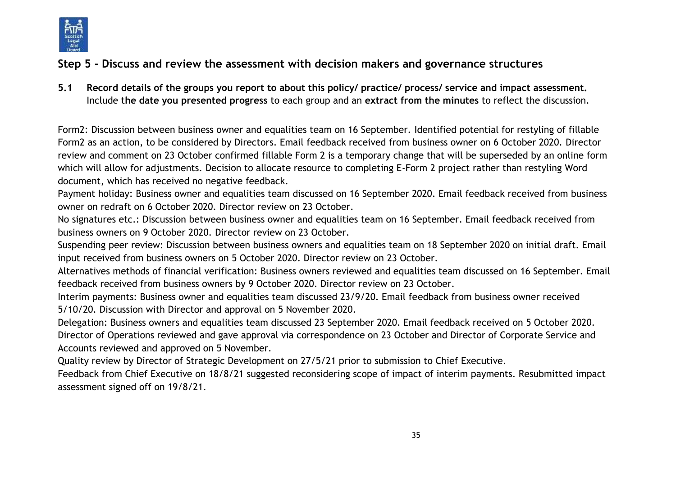

# **Step 5 - Discuss and review the assessment with decision makers and governance structures**

**5.1 Record details of the groups you report to about this policy/ practice/ process/ service and impact assessment.**  Include t**he date you presented progress** to each group and an **extract from the minutes** to reflect the discussion.

Form2: Discussion between business owner and equalities team on 16 September. Identified potential for restyling of fillable Form2 as an action, to be considered by Directors. Email feedback received from business owner on 6 October 2020. Director review and comment on 23 October confirmed fillable Form 2 is a temporary change that will be superseded by an online form which will allow for adjustments. Decision to allocate resource to completing E-Form 2 project rather than restyling Word document, which has received no negative feedback.

Payment holiday: Business owner and equalities team discussed on 16 September 2020. Email feedback received from business owner on redraft on 6 October 2020. Director review on 23 October.

No signatures etc.: Discussion between business owner and equalities team on 16 September. Email feedback received from business owners on 9 October 2020. Director review on 23 October.

Suspending peer review: Discussion between business owners and equalities team on 18 September 2020 on initial draft. Email input received from business owners on 5 October 2020. Director review on 23 October.

Alternatives methods of financial verification: Business owners reviewed and equalities team discussed on 16 September. Email feedback received from business owners by 9 October 2020. Director review on 23 October.

Interim payments: Business owner and equalities team discussed 23/9/20. Email feedback from business owner received 5/10/20. Discussion with Director and approval on 5 November 2020.

Delegation: Business owners and equalities team discussed 23 September 2020. Email feedback received on 5 October 2020. Director of Operations reviewed and gave approval via correspondence on 23 October and Director of Corporate Service and Accounts reviewed and approved on 5 November.

Quality review by Director of Strategic Development on 27/5/21 prior to submission to Chief Executive.

Feedback from Chief Executive on 18/8/21 suggested reconsidering scope of impact of interim payments. Resubmitted impact assessment signed off on 19/8/21.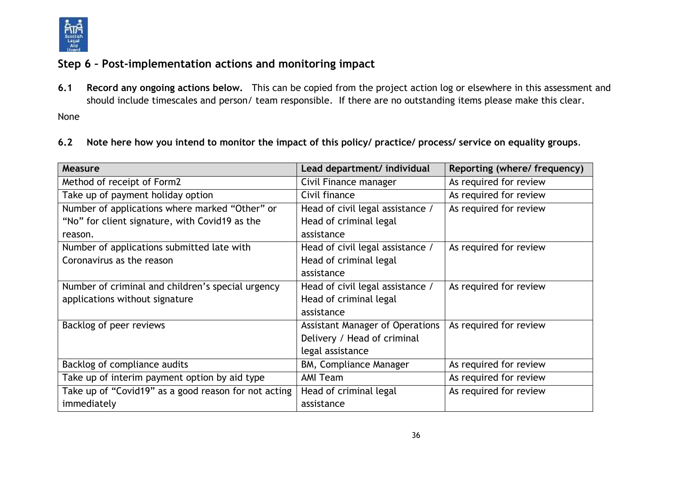

# **Step 6 – Post-implementation actions and monitoring impact**

**6.1 Record any ongoing actions below.** This can be copied from the project action log or elsewhere in this assessment and should include timescales and person/ team responsible.If there are no outstanding items please make this clear.

None

#### **6.2 Note here how you intend to monitor the impact of this policy/ practice/ process/ service on equality groups**.

| Measure                                              | Lead department/ individual            | Reporting (where/ frequency) |
|------------------------------------------------------|----------------------------------------|------------------------------|
| Method of receipt of Form2                           | Civil Finance manager                  | As required for review       |
| Take up of payment holiday option                    | Civil finance                          | As required for review       |
| Number of applications where marked "Other" or       | Head of civil legal assistance /       | As required for review       |
| "No" for client signature, with Covid19 as the       | Head of criminal legal                 |                              |
| reason.                                              | assistance                             |                              |
| Number of applications submitted late with           | Head of civil legal assistance /       | As required for review       |
| Coronavirus as the reason                            | Head of criminal legal                 |                              |
|                                                      | assistance                             |                              |
| Number of criminal and children's special urgency    | Head of civil legal assistance /       | As required for review       |
| applications without signature                       | Head of criminal legal                 |                              |
|                                                      | assistance                             |                              |
| Backlog of peer reviews                              | <b>Assistant Manager of Operations</b> | As required for review       |
|                                                      | Delivery / Head of criminal            |                              |
|                                                      | legal assistance                       |                              |
| Backlog of compliance audits                         | <b>BM, Compliance Manager</b>          | As required for review       |
| Take up of interim payment option by aid type        | <b>AMI Team</b>                        | As required for review       |
| Take up of "Covid19" as a good reason for not acting | Head of criminal legal                 | As required for review       |
| immediately                                          | assistance                             |                              |